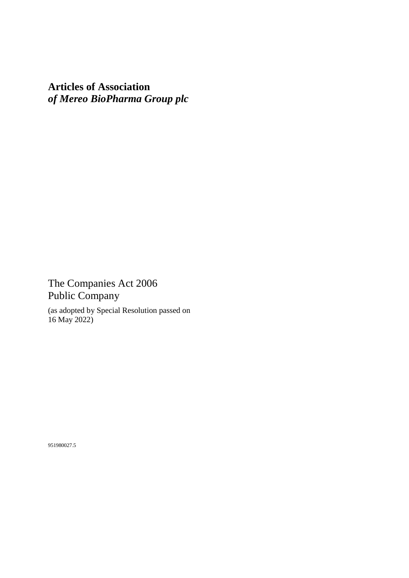**Articles of Association**  *of Mereo BioPharma Group plc* 

The Companies Act 2006 Public Company

(as adopted by Special Resolution passed on 16 May 2022)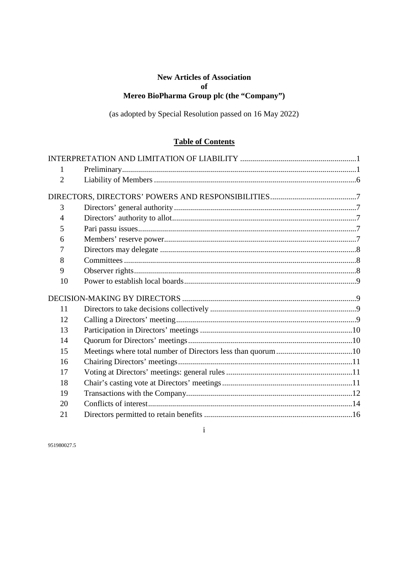# **New Articles of Association** of Mereo BioPharma Group plc (the "Company")

(as adopted by Special Resolution passed on 16 May 2022)

# **Table of Contents**

| 1              |  |
|----------------|--|
| $\overline{2}$ |  |
|                |  |
| 3              |  |
| $\overline{4}$ |  |
| 5              |  |
| 6              |  |
| 7              |  |
| 8              |  |
| 9              |  |
| 10             |  |
|                |  |
|                |  |
| 11             |  |
| 12             |  |
| 13             |  |
| 14             |  |
| 15             |  |
| 16             |  |
| 17             |  |
| 18             |  |
| 19             |  |
| 20             |  |

 $\mathbf{i}$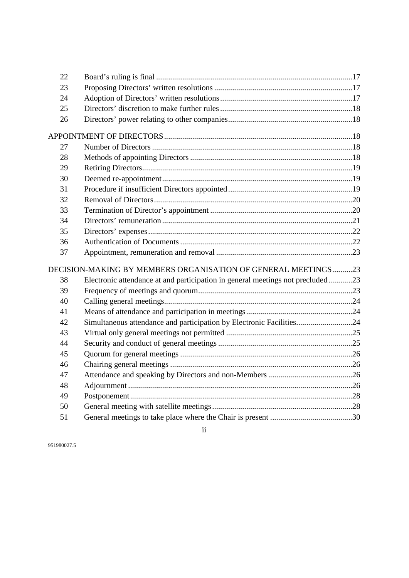| 22 |                                                                                |  |
|----|--------------------------------------------------------------------------------|--|
| 23 |                                                                                |  |
| 24 |                                                                                |  |
| 25 |                                                                                |  |
| 26 |                                                                                |  |
|    |                                                                                |  |
| 27 |                                                                                |  |
| 28 |                                                                                |  |
| 29 |                                                                                |  |
| 30 |                                                                                |  |
| 31 |                                                                                |  |
| 32 |                                                                                |  |
| 33 |                                                                                |  |
| 34 |                                                                                |  |
| 35 |                                                                                |  |
| 36 |                                                                                |  |
| 37 |                                                                                |  |
|    | DECISION-MAKING BY MEMBERS ORGANISATION OF GENERAL MEETINGS23                  |  |
| 38 | Electronic attendance at and participation in general meetings not precluded23 |  |
| 39 |                                                                                |  |
| 40 |                                                                                |  |
| 41 |                                                                                |  |
| 42 | Simultaneous attendance and participation by Electronic Facilities24           |  |
| 43 |                                                                                |  |
| 44 |                                                                                |  |
| 45 |                                                                                |  |
| 46 |                                                                                |  |
| 47 |                                                                                |  |
| 48 |                                                                                |  |
| 49 |                                                                                |  |
| 50 |                                                                                |  |
| 51 |                                                                                |  |

ii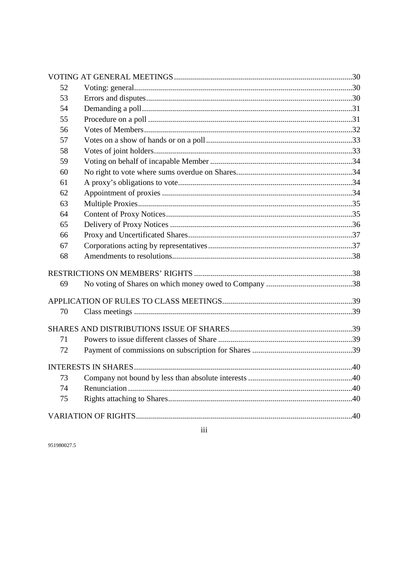| 52 |  |  |
|----|--|--|
| 53 |  |  |
| 54 |  |  |
| 55 |  |  |
| 56 |  |  |
| 57 |  |  |
| 58 |  |  |
| 59 |  |  |
| 60 |  |  |
| 61 |  |  |
| 62 |  |  |
| 63 |  |  |
| 64 |  |  |
| 65 |  |  |
| 66 |  |  |
| 67 |  |  |
| 68 |  |  |
|    |  |  |
| 69 |  |  |
|    |  |  |
| 70 |  |  |
|    |  |  |
| 71 |  |  |
| 72 |  |  |
|    |  |  |
| 73 |  |  |
| 74 |  |  |
| 75 |  |  |
|    |  |  |

 $\overline{\text{iii}}$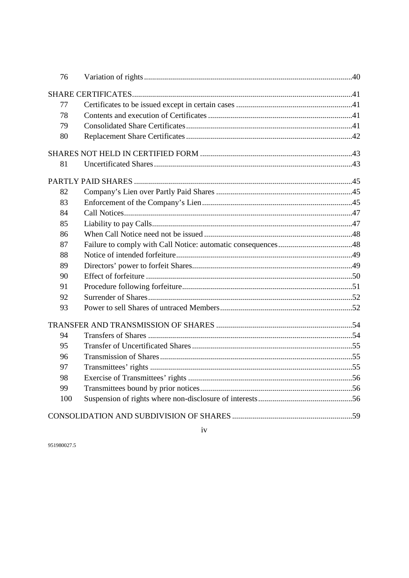| 76  |  |
|-----|--|
|     |  |
| 77  |  |
| 78  |  |
| 79  |  |
| 80  |  |
|     |  |
| 81  |  |
|     |  |
| 82  |  |
| 83  |  |
| 84  |  |
| 85  |  |
| 86  |  |
| 87  |  |
| 88  |  |
| 89  |  |
| 90  |  |
| 91  |  |
| 92  |  |
| 93  |  |
|     |  |
| 94  |  |
| 95  |  |
| 96  |  |
| 97  |  |
| 98  |  |
| 99  |  |
| 100 |  |
|     |  |

 $\mathrm{i} \mathrm{v}$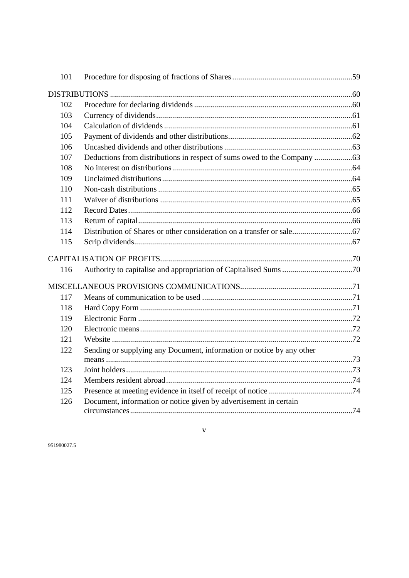| 101 |                                                                       |  |
|-----|-----------------------------------------------------------------------|--|
|     |                                                                       |  |
| 102 |                                                                       |  |
| 103 |                                                                       |  |
| 104 |                                                                       |  |
| 105 |                                                                       |  |
| 106 |                                                                       |  |
| 107 |                                                                       |  |
| 108 |                                                                       |  |
| 109 |                                                                       |  |
| 110 |                                                                       |  |
| 111 |                                                                       |  |
| 112 |                                                                       |  |
| 113 |                                                                       |  |
| 114 |                                                                       |  |
| 115 |                                                                       |  |
|     |                                                                       |  |
| 116 |                                                                       |  |
|     |                                                                       |  |
| 117 |                                                                       |  |
| 118 |                                                                       |  |
| 119 |                                                                       |  |
| 120 |                                                                       |  |
| 121 |                                                                       |  |
| 122 | Sending or supplying any Document, information or notice by any other |  |
|     |                                                                       |  |
| 123 |                                                                       |  |
| 124 |                                                                       |  |
| 125 |                                                                       |  |
| 126 | Document, information or notice given by advertisement in certain     |  |
|     |                                                                       |  |

 $\mathbf{V}$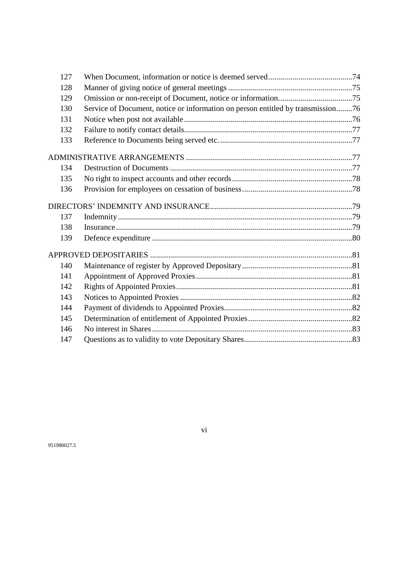| 127 |                                                                                 |  |
|-----|---------------------------------------------------------------------------------|--|
| 128 |                                                                                 |  |
| 129 |                                                                                 |  |
| 130 | Service of Document, notice or information on person entitled by transmission76 |  |
| 131 |                                                                                 |  |
| 132 |                                                                                 |  |
| 133 |                                                                                 |  |
|     |                                                                                 |  |
| 134 |                                                                                 |  |
| 135 |                                                                                 |  |
| 136 |                                                                                 |  |
|     |                                                                                 |  |
| 137 |                                                                                 |  |
| 138 |                                                                                 |  |
| 139 |                                                                                 |  |
|     |                                                                                 |  |
| 140 |                                                                                 |  |
| 141 |                                                                                 |  |
| 142 |                                                                                 |  |
| 143 |                                                                                 |  |
| 144 |                                                                                 |  |
| 145 |                                                                                 |  |
| 146 |                                                                                 |  |
| 147 |                                                                                 |  |

vi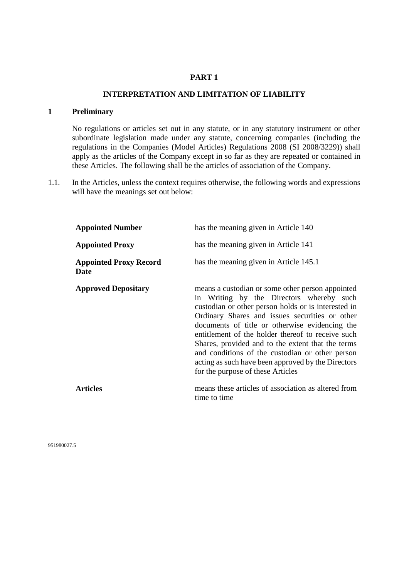#### **PART 1**

# **INTERPRETATION AND LIMITATION OF LIABILITY**

# **1 Preliminary**

No regulations or articles set out in any statute, or in any statutory instrument or other subordinate legislation made under any statute, concerning companies (including the regulations in the Companies (Model Articles) Regulations 2008 (SI 2008/3229)) shall apply as the articles of the Company except in so far as they are repeated or contained in these Articles. The following shall be the articles of association of the Company.

1.1. In the Articles, unless the context requires otherwise, the following words and expressions will have the meanings set out below:

| <b>Appointed Number</b>               | has the meaning given in Article 140                                                                                                                                                                                                                                                                                                                                                                                                                                                                            |
|---------------------------------------|-----------------------------------------------------------------------------------------------------------------------------------------------------------------------------------------------------------------------------------------------------------------------------------------------------------------------------------------------------------------------------------------------------------------------------------------------------------------------------------------------------------------|
| <b>Appointed Proxy</b>                | has the meaning given in Article 141                                                                                                                                                                                                                                                                                                                                                                                                                                                                            |
| <b>Appointed Proxy Record</b><br>Date | has the meaning given in Article 145.1                                                                                                                                                                                                                                                                                                                                                                                                                                                                          |
| <b>Approved Depositary</b>            | means a custodian or some other person appointed<br>in Writing by the Directors whereby such<br>custodian or other person holds or is interested in<br>Ordinary Shares and issues securities or other<br>documents of title or otherwise evidencing the<br>entitlement of the holder thereof to receive such<br>Shares, provided and to the extent that the terms<br>and conditions of the custodian or other person<br>acting as such have been approved by the Directors<br>for the purpose of these Articles |
| <b>Articles</b>                       | means these articles of association as altered from<br>time to time                                                                                                                                                                                                                                                                                                                                                                                                                                             |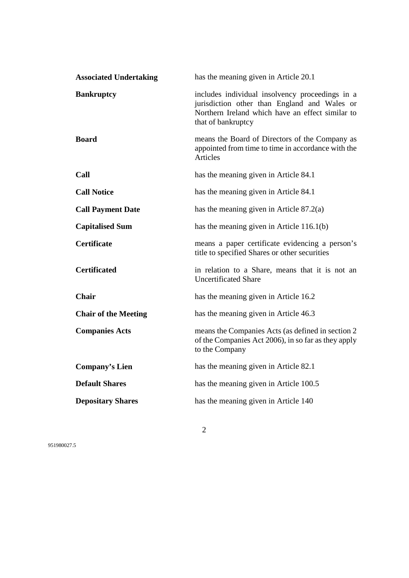| <b>Associated Undertaking</b> | has the meaning given in Article 20.1                                                                                                                                     |
|-------------------------------|---------------------------------------------------------------------------------------------------------------------------------------------------------------------------|
| <b>Bankruptcy</b>             | includes individual insolvency proceedings in a<br>jurisdiction other than England and Wales or<br>Northern Ireland which have an effect similar to<br>that of bankruptcy |
| <b>Board</b>                  | means the Board of Directors of the Company as<br>appointed from time to time in accordance with the<br><b>Articles</b>                                                   |
| Call                          | has the meaning given in Article 84.1                                                                                                                                     |
| <b>Call Notice</b>            | has the meaning given in Article 84.1                                                                                                                                     |
| <b>Call Payment Date</b>      | has the meaning given in Article $87.2(a)$                                                                                                                                |
| <b>Capitalised Sum</b>        | has the meaning given in Article 116.1(b)                                                                                                                                 |
| <b>Certificate</b>            | means a paper certificate evidencing a person's<br>title to specified Shares or other securities                                                                          |
| <b>Certificated</b>           | in relation to a Share, means that it is not an<br><b>Uncertificated Share</b>                                                                                            |
| <b>Chair</b>                  | has the meaning given in Article 16.2                                                                                                                                     |
| <b>Chair of the Meeting</b>   | has the meaning given in Article 46.3                                                                                                                                     |
| <b>Companies Acts</b>         | means the Companies Acts (as defined in section 2)<br>of the Companies Act 2006), in so far as they apply<br>to the Company                                               |
| <b>Company's Lien</b>         | has the meaning given in Article 82.1                                                                                                                                     |
| <b>Default Shares</b>         | has the meaning given in Article 100.5                                                                                                                                    |
| <b>Depositary Shares</b>      | has the meaning given in Article 140                                                                                                                                      |

2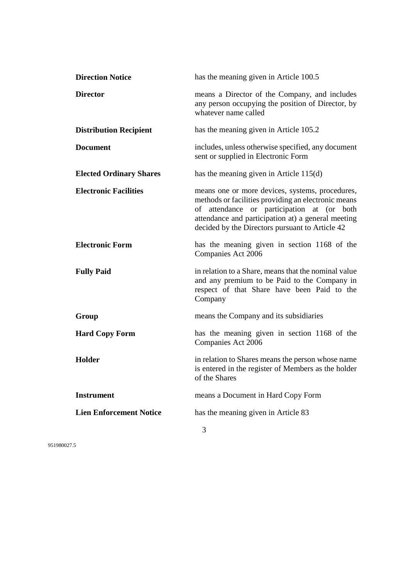| <b>Direction Notice</b>        | has the meaning given in Article 100.5                                                                                                                                                                                                                        |
|--------------------------------|---------------------------------------------------------------------------------------------------------------------------------------------------------------------------------------------------------------------------------------------------------------|
| <b>Director</b>                | means a Director of the Company, and includes<br>any person occupying the position of Director, by<br>whatever name called                                                                                                                                    |
| <b>Distribution Recipient</b>  | has the meaning given in Article 105.2                                                                                                                                                                                                                        |
| <b>Document</b>                | includes, unless otherwise specified, any document<br>sent or supplied in Electronic Form                                                                                                                                                                     |
| <b>Elected Ordinary Shares</b> | has the meaning given in Article $115(d)$                                                                                                                                                                                                                     |
| <b>Electronic Facilities</b>   | means one or more devices, systems, procedures,<br>methods or facilities providing an electronic means<br>of attendance or participation at (or both<br>attendance and participation at) a general meeting<br>decided by the Directors pursuant to Article 42 |
| <b>Electronic Form</b>         | has the meaning given in section 1168 of the<br>Companies Act 2006                                                                                                                                                                                            |
| <b>Fully Paid</b>              | in relation to a Share, means that the nominal value<br>and any premium to be Paid to the Company in<br>respect of that Share have been Paid to the<br>Company                                                                                                |
| Group                          | means the Company and its subsidiaries                                                                                                                                                                                                                        |
| <b>Hard Copy Form</b>          | has the meaning given in section 1168 of the<br>Companies Act 2006                                                                                                                                                                                            |
| Holder                         | in relation to Shares means the person whose name<br>is entered in the register of Members as the holder<br>of the Shares                                                                                                                                     |
| <b>Instrument</b>              | means a Document in Hard Copy Form                                                                                                                                                                                                                            |
| <b>Lien Enforcement Notice</b> | has the meaning given in Article 83                                                                                                                                                                                                                           |
|                                | 3                                                                                                                                                                                                                                                             |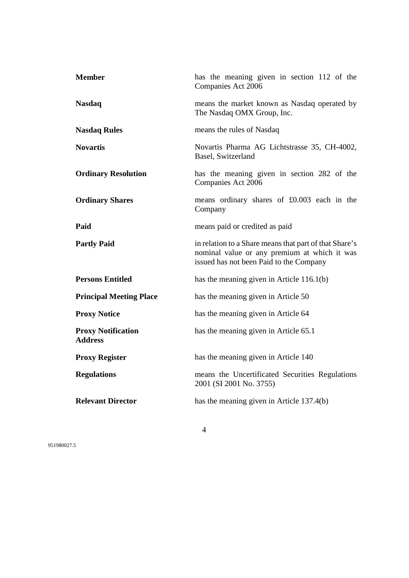| <b>Member</b>                               | has the meaning given in section 112 of the<br>Companies Act 2006                                                                                 |
|---------------------------------------------|---------------------------------------------------------------------------------------------------------------------------------------------------|
| <b>Nasdaq</b>                               | means the market known as Nasdaq operated by<br>The Nasdaq OMX Group, Inc.                                                                        |
| <b>Nasdaq Rules</b>                         | means the rules of Nasdaq                                                                                                                         |
| <b>Novartis</b>                             | Novartis Pharma AG Lichtstrasse 35, CH-4002,<br>Basel, Switzerland                                                                                |
| <b>Ordinary Resolution</b>                  | has the meaning given in section 282 of the<br>Companies Act 2006                                                                                 |
| <b>Ordinary Shares</b>                      | means ordinary shares of £0.003 each in the<br>Company                                                                                            |
| Paid                                        | means paid or credited as paid                                                                                                                    |
| <b>Partly Paid</b>                          | in relation to a Share means that part of that Share's<br>nominal value or any premium at which it was<br>issued has not been Paid to the Company |
| <b>Persons Entitled</b>                     | has the meaning given in Article 116.1(b)                                                                                                         |
| <b>Principal Meeting Place</b>              | has the meaning given in Article 50                                                                                                               |
| <b>Proxy Notice</b>                         | has the meaning given in Article 64                                                                                                               |
| <b>Proxy Notification</b><br><b>Address</b> | has the meaning given in Article 65.1                                                                                                             |
| <b>Proxy Register</b>                       | has the meaning given in Article 140                                                                                                              |
| <b>Regulations</b>                          | means the Uncertificated Securities Regulations<br>2001 (SI 2001 No. 3755)                                                                        |
| <b>Relevant Director</b>                    | has the meaning given in Article 137.4(b)                                                                                                         |

4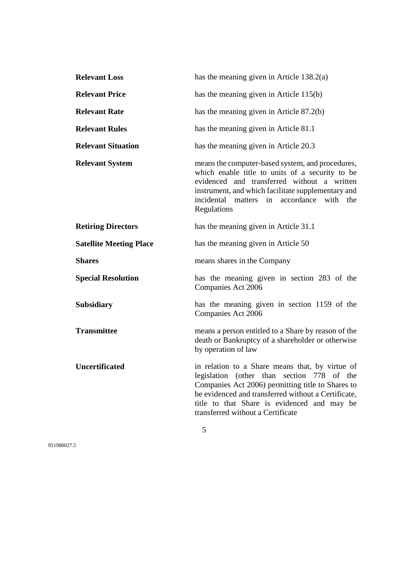| <b>Relevant Loss</b>           | has the meaning given in Article $138.2(a)$                                                                                                                                                                                                                                                        |
|--------------------------------|----------------------------------------------------------------------------------------------------------------------------------------------------------------------------------------------------------------------------------------------------------------------------------------------------|
| <b>Relevant Price</b>          | has the meaning given in Article 115(b)                                                                                                                                                                                                                                                            |
| <b>Relevant Rate</b>           | has the meaning given in Article 87.2(b)                                                                                                                                                                                                                                                           |
| <b>Relevant Rules</b>          | has the meaning given in Article 81.1                                                                                                                                                                                                                                                              |
| <b>Relevant Situation</b>      | has the meaning given in Article 20.3                                                                                                                                                                                                                                                              |
| <b>Relevant System</b>         | means the computer-based system, and procedures,<br>which enable title to units of a security to be<br>evidenced and transferred without a written<br>instrument, and which facilitate supplementary and<br>incidental matters in accordance with the<br>Regulations                               |
| <b>Retiring Directors</b>      | has the meaning given in Article 31.1                                                                                                                                                                                                                                                              |
| <b>Satellite Meeting Place</b> | has the meaning given in Article 50                                                                                                                                                                                                                                                                |
| <b>Shares</b>                  | means shares in the Company                                                                                                                                                                                                                                                                        |
| <b>Special Resolution</b>      | has the meaning given in section 283 of the<br>Companies Act 2006                                                                                                                                                                                                                                  |
| <b>Subsidiary</b>              | has the meaning given in section 1159 of the<br>Companies Act 2006                                                                                                                                                                                                                                 |
| <b>Transmittee</b>             | means a person entitled to a Share by reason of the<br>death or Bankruptcy of a shareholder or otherwise<br>by operation of law                                                                                                                                                                    |
| Uncertificated                 | in relation to a Share means that, by virtue of<br>legislation (other than section 778 of the<br>Companies Act 2006) permitting title to Shares to<br>be evidenced and transferred without a Certificate,<br>title to that Share is evidenced and may be<br>transferred without a Certificate<br>5 |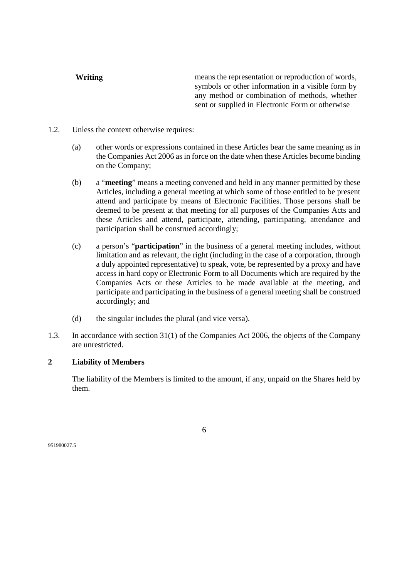**Writing** means the representation or reproduction of words, symbols or other information in a visible form by any method or combination of methods, whether sent or supplied in Electronic Form or otherwise

- 1.2. Unless the context otherwise requires:
	- (a) other words or expressions contained in these Articles bear the same meaning as in the Companies Act 2006 as in force on the date when these Articles become binding on the Company;
	- (b) a "**meeting**" means a meeting convened and held in any manner permitted by these Articles, including a general meeting at which some of those entitled to be present attend and participate by means of Electronic Facilities. Those persons shall be deemed to be present at that meeting for all purposes of the Companies Acts and these Articles and attend, participate, attending, participating, attendance and participation shall be construed accordingly;
	- (c) a person's "**participation**" in the business of a general meeting includes, without limitation and as relevant, the right (including in the case of a corporation, through a duly appointed representative) to speak, vote, be represented by a proxy and have access in hard copy or Electronic Form to all Documents which are required by the Companies Acts or these Articles to be made available at the meeting, and participate and participating in the business of a general meeting shall be construed accordingly; and
	- (d) the singular includes the plural (and vice versa).
- 1.3. In accordance with section 31(1) of the Companies Act 2006, the objects of the Company are unrestricted.

# **2 Liability of Members**

The liability of the Members is limited to the amount, if any, unpaid on the Shares held by them.

6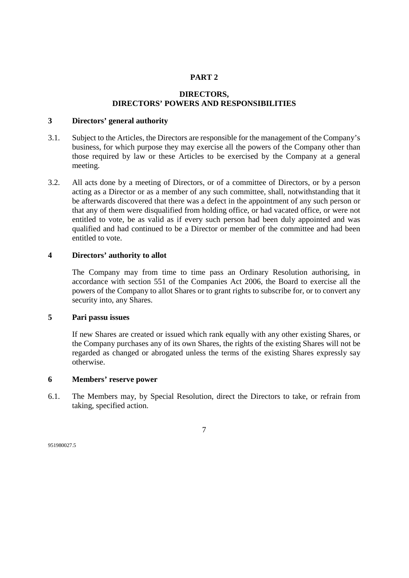# **PART 2**

# **DIRECTORS, DIRECTORS' POWERS AND RESPONSIBILITIES**

#### **3 Directors' general authority**

- 3.1. Subject to the Articles, the Directors are responsible for the management of the Company's business, for which purpose they may exercise all the powers of the Company other than those required by law or these Articles to be exercised by the Company at a general meeting.
- 3.2. All acts done by a meeting of Directors, or of a committee of Directors, or by a person acting as a Director or as a member of any such committee, shall, notwithstanding that it be afterwards discovered that there was a defect in the appointment of any such person or that any of them were disqualified from holding office, or had vacated office, or were not entitled to vote, be as valid as if every such person had been duly appointed and was qualified and had continued to be a Director or member of the committee and had been entitled to vote.

# **4 Directors' authority to allot**

The Company may from time to time pass an Ordinary Resolution authorising, in accordance with section 551 of the Companies Act 2006, the Board to exercise all the powers of the Company to allot Shares or to grant rights to subscribe for, or to convert any security into, any Shares.

#### **5 Pari passu issues**

If new Shares are created or issued which rank equally with any other existing Shares, or the Company purchases any of its own Shares, the rights of the existing Shares will not be regarded as changed or abrogated unless the terms of the existing Shares expressly say otherwise.

# **6 Members' reserve power**

6.1. The Members may, by Special Resolution, direct the Directors to take, or refrain from taking, specified action.

7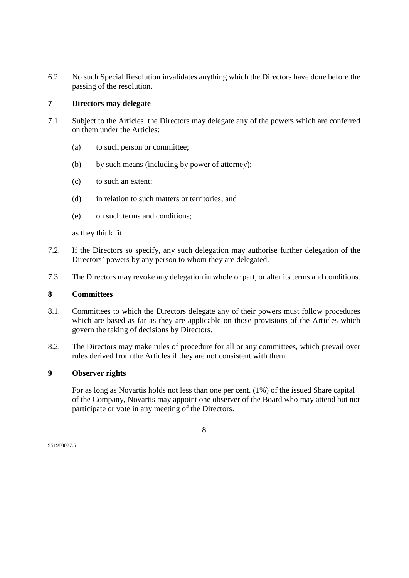6.2. No such Special Resolution invalidates anything which the Directors have done before the passing of the resolution.

# **7 Directors may delegate**

- 7.1. Subject to the Articles, the Directors may delegate any of the powers which are conferred on them under the Articles:
	- (a) to such person or committee;
	- (b) by such means (including by power of attorney);
	- (c) to such an extent;
	- (d) in relation to such matters or territories; and
	- (e) on such terms and conditions;

as they think fit.

- 7.2. If the Directors so specify, any such delegation may authorise further delegation of the Directors' powers by any person to whom they are delegated.
- 7.3. The Directors may revoke any delegation in whole or part, or alter its terms and conditions.

# **8 Committees**

- 8.1. Committees to which the Directors delegate any of their powers must follow procedures which are based as far as they are applicable on those provisions of the Articles which govern the taking of decisions by Directors.
- 8.2. The Directors may make rules of procedure for all or any committees, which prevail over rules derived from the Articles if they are not consistent with them.

# **9 Observer rights**

For as long as Novartis holds not less than one per cent. (1%) of the issued Share capital of the Company, Novartis may appoint one observer of the Board who may attend but not participate or vote in any meeting of the Directors.

8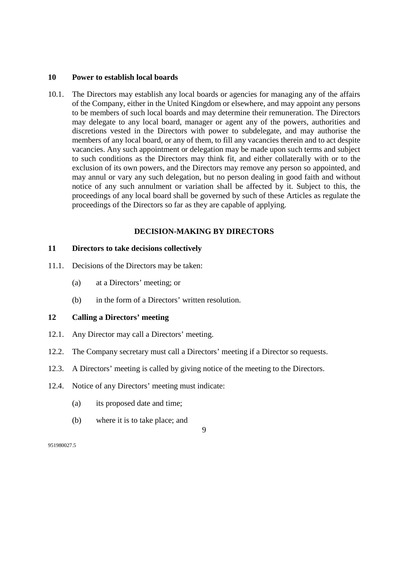#### **10 Power to establish local boards**

10.1. The Directors may establish any local boards or agencies for managing any of the affairs of the Company, either in the United Kingdom or elsewhere, and may appoint any persons to be members of such local boards and may determine their remuneration. The Directors may delegate to any local board, manager or agent any of the powers, authorities and discretions vested in the Directors with power to subdelegate, and may authorise the members of any local board, or any of them, to fill any vacancies therein and to act despite vacancies. Any such appointment or delegation may be made upon such terms and subject to such conditions as the Directors may think fit, and either collaterally with or to the exclusion of its own powers, and the Directors may remove any person so appointed, and may annul or vary any such delegation, but no person dealing in good faith and without notice of any such annulment or variation shall be affected by it. Subject to this, the proceedings of any local board shall be governed by such of these Articles as regulate the proceedings of the Directors so far as they are capable of applying.

# **DECISION-MAKING BY DIRECTORS**

# **11 Directors to take decisions collectively**

- 11.1. Decisions of the Directors may be taken:
	- (a) at a Directors' meeting; or
	- (b) in the form of a Directors' written resolution.

# **12 Calling a Directors' meeting**

- 12.1. Any Director may call a Directors' meeting.
- 12.2. The Company secretary must call a Directors' meeting if a Director so requests.
- 12.3. A Directors' meeting is called by giving notice of the meeting to the Directors.
- 12.4. Notice of any Directors' meeting must indicate:
	- (a) its proposed date and time;
	- (b) where it is to take place; and

9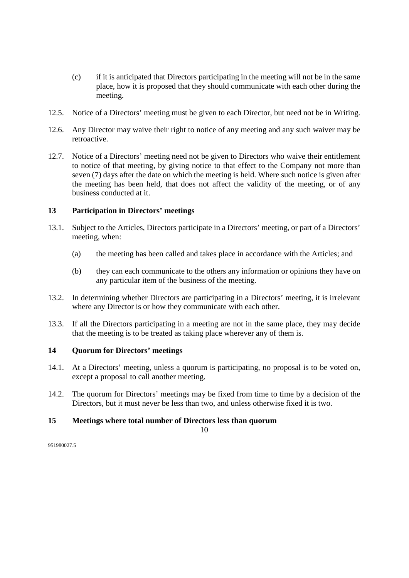- (c) if it is anticipated that Directors participating in the meeting will not be in the same place, how it is proposed that they should communicate with each other during the meeting.
- 12.5. Notice of a Directors' meeting must be given to each Director, but need not be in Writing.
- 12.6. Any Director may waive their right to notice of any meeting and any such waiver may be retroactive.
- 12.7. Notice of a Directors' meeting need not be given to Directors who waive their entitlement to notice of that meeting, by giving notice to that effect to the Company not more than seven (7) days after the date on which the meeting is held. Where such notice is given after the meeting has been held, that does not affect the validity of the meeting, or of any business conducted at it.

# **13 Participation in Directors' meetings**

- 13.1. Subject to the Articles, Directors participate in a Directors' meeting, or part of a Directors' meeting, when:
	- (a) the meeting has been called and takes place in accordance with the Articles; and
	- (b) they can each communicate to the others any information or opinions they have on any particular item of the business of the meeting.
- 13.2. In determining whether Directors are participating in a Directors' meeting, it is irrelevant where any Director is or how they communicate with each other.
- 13.3. If all the Directors participating in a meeting are not in the same place, they may decide that the meeting is to be treated as taking place wherever any of them is.

# **14 Quorum for Directors' meetings**

- 14.1. At a Directors' meeting, unless a quorum is participating, no proposal is to be voted on, except a proposal to call another meeting.
- 14.2. The quorum for Directors' meetings may be fixed from time to time by a decision of the Directors, but it must never be less than two, and unless otherwise fixed it is two.

# **15 Meetings where total number of Directors less than quorum**

10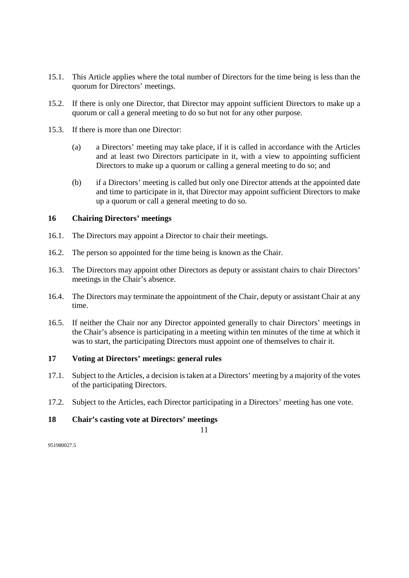- 15.1. This Article applies where the total number of Directors for the time being is less than the quorum for Directors' meetings.
- 15.2. If there is only one Director, that Director may appoint sufficient Directors to make up a quorum or call a general meeting to do so but not for any other purpose.
- 15.3. If there is more than one Director:
	- (a) a Directors' meeting may take place, if it is called in accordance with the Articles and at least two Directors participate in it, with a view to appointing sufficient Directors to make up a quorum or calling a general meeting to do so; and
	- (b) if a Directors' meeting is called but only one Director attends at the appointed date and time to participate in it, that Director may appoint sufficient Directors to make up a quorum or call a general meeting to do so.

#### **16 Chairing Directors' meetings**

- 16.1. The Directors may appoint a Director to chair their meetings.
- 16.2. The person so appointed for the time being is known as the Chair.
- 16.3. The Directors may appoint other Directors as deputy or assistant chairs to chair Directors' meetings in the Chair's absence.
- 16.4. The Directors may terminate the appointment of the Chair, deputy or assistant Chair at any time.
- 16.5. If neither the Chair nor any Director appointed generally to chair Directors' meetings in the Chair's absence is participating in a meeting within ten minutes of the time at which it was to start, the participating Directors must appoint one of themselves to chair it.

#### **17 Voting at Directors' meetings: general rules**

- 17.1. Subject to the Articles, a decision is taken at a Directors' meeting by a majority of the votes of the participating Directors.
- 17.2. Subject to the Articles, each Director participating in a Directors' meeting has one vote.

# **18 Chair's casting vote at Directors' meetings**

11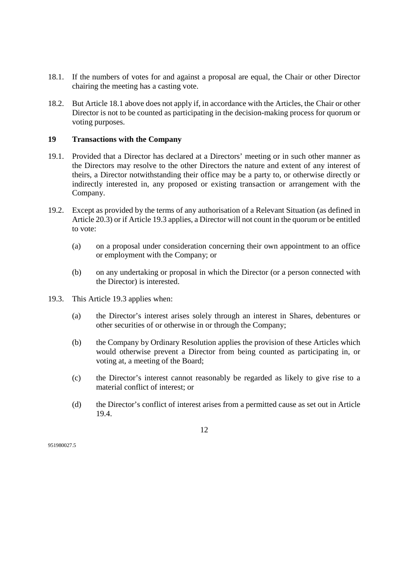- 18.1. If the numbers of votes for and against a proposal are equal, the Chair or other Director chairing the meeting has a casting vote.
- 18.2. But Article 18.1 above does not apply if, in accordance with the Articles, the Chair or other Director is not to be counted as participating in the decision-making process for quorum or voting purposes.

#### **19 Transactions with the Company**

- 19.1. Provided that a Director has declared at a Directors' meeting or in such other manner as the Directors may resolve to the other Directors the nature and extent of any interest of theirs, a Director notwithstanding their office may be a party to, or otherwise directly or indirectly interested in, any proposed or existing transaction or arrangement with the Company.
- 19.2. Except as provided by the terms of any authorisation of a Relevant Situation (as defined in Article 20.3) or if Article 19.3 applies, a Director will not count in the quorum or be entitled to vote:
	- (a) on a proposal under consideration concerning their own appointment to an office or employment with the Company; or
	- (b) on any undertaking or proposal in which the Director (or a person connected with the Director) is interested.
- 19.3. This Article 19.3 applies when:
	- (a) the Director's interest arises solely through an interest in Shares, debentures or other securities of or otherwise in or through the Company;
	- (b) the Company by Ordinary Resolution applies the provision of these Articles which would otherwise prevent a Director from being counted as participating in, or voting at, a meeting of the Board;
	- (c) the Director's interest cannot reasonably be regarded as likely to give rise to a material conflict of interest; or
	- (d) the Director's conflict of interest arises from a permitted cause as set out in Article 19.4.

12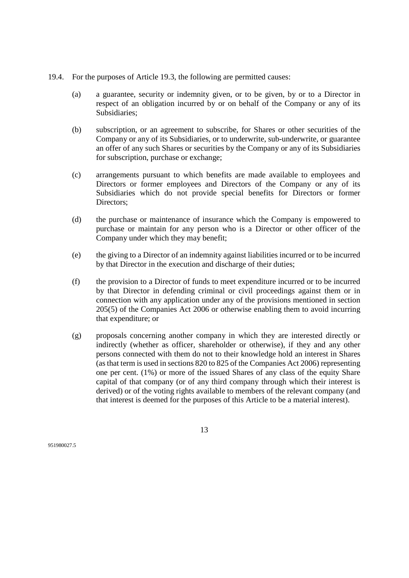- 19.4. For the purposes of Article 19.3, the following are permitted causes:
	- (a) a guarantee, security or indemnity given, or to be given, by or to a Director in respect of an obligation incurred by or on behalf of the Company or any of its Subsidiaries;
	- (b) subscription, or an agreement to subscribe, for Shares or other securities of the Company or any of its Subsidiaries, or to underwrite, sub-underwrite, or guarantee an offer of any such Shares or securities by the Company or any of its Subsidiaries for subscription, purchase or exchange;
	- (c) arrangements pursuant to which benefits are made available to employees and Directors or former employees and Directors of the Company or any of its Subsidiaries which do not provide special benefits for Directors or former Directors:
	- (d) the purchase or maintenance of insurance which the Company is empowered to purchase or maintain for any person who is a Director or other officer of the Company under which they may benefit;
	- (e) the giving to a Director of an indemnity against liabilities incurred or to be incurred by that Director in the execution and discharge of their duties;
	- (f) the provision to a Director of funds to meet expenditure incurred or to be incurred by that Director in defending criminal or civil proceedings against them or in connection with any application under any of the provisions mentioned in section 205(5) of the Companies Act 2006 or otherwise enabling them to avoid incurring that expenditure; or
	- (g) proposals concerning another company in which they are interested directly or indirectly (whether as officer, shareholder or otherwise), if they and any other persons connected with them do not to their knowledge hold an interest in Shares (as that term is used in sections 820 to 825 of the Companies Act 2006) representing one per cent. (1%) or more of the issued Shares of any class of the equity Share capital of that company (or of any third company through which their interest is derived) or of the voting rights available to members of the relevant company (and that interest is deemed for the purposes of this Article to be a material interest).

13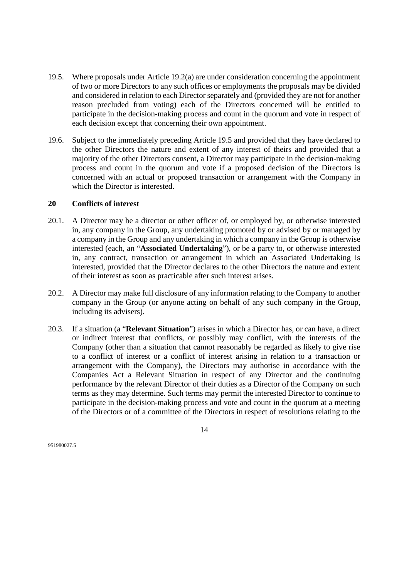- 19.5. Where proposals under Article 19.2(a) are under consideration concerning the appointment of two or more Directors to any such offices or employments the proposals may be divided and considered in relation to each Director separately and (provided they are not for another reason precluded from voting) each of the Directors concerned will be entitled to participate in the decision-making process and count in the quorum and vote in respect of each decision except that concerning their own appointment.
- 19.6. Subject to the immediately preceding Article 19.5 and provided that they have declared to the other Directors the nature and extent of any interest of theirs and provided that a majority of the other Directors consent, a Director may participate in the decision-making process and count in the quorum and vote if a proposed decision of the Directors is concerned with an actual or proposed transaction or arrangement with the Company in which the Director is interested.

#### **20 Conflicts of interest**

- 20.1. A Director may be a director or other officer of, or employed by, or otherwise interested in, any company in the Group, any undertaking promoted by or advised by or managed by a company in the Group and any undertaking in which a company in the Group is otherwise interested (each, an "**Associated Undertaking**"), or be a party to, or otherwise interested in, any contract, transaction or arrangement in which an Associated Undertaking is interested, provided that the Director declares to the other Directors the nature and extent of their interest as soon as practicable after such interest arises.
- 20.2. A Director may make full disclosure of any information relating to the Company to another company in the Group (or anyone acting on behalf of any such company in the Group, including its advisers).
- 20.3. If a situation (a "**Relevant Situation**") arises in which a Director has, or can have, a direct or indirect interest that conflicts, or possibly may conflict, with the interests of the Company (other than a situation that cannot reasonably be regarded as likely to give rise to a conflict of interest or a conflict of interest arising in relation to a transaction or arrangement with the Company), the Directors may authorise in accordance with the Companies Act a Relevant Situation in respect of any Director and the continuing performance by the relevant Director of their duties as a Director of the Company on such terms as they may determine. Such terms may permit the interested Director to continue to participate in the decision-making process and vote and count in the quorum at a meeting of the Directors or of a committee of the Directors in respect of resolutions relating to the

14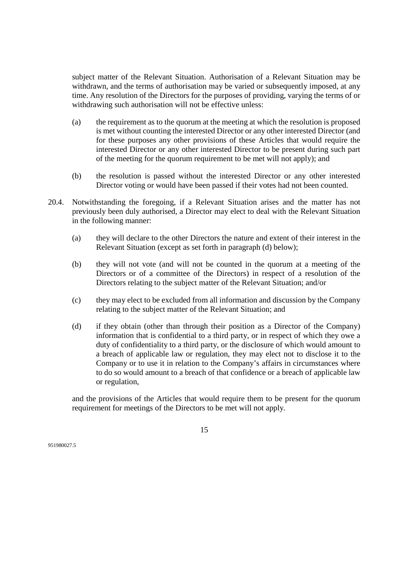subject matter of the Relevant Situation. Authorisation of a Relevant Situation may be withdrawn, and the terms of authorisation may be varied or subsequently imposed, at any time. Any resolution of the Directors for the purposes of providing, varying the terms of or withdrawing such authorisation will not be effective unless:

- (a) the requirement as to the quorum at the meeting at which the resolution is proposed is met without counting the interested Director or any other interested Director (and for these purposes any other provisions of these Articles that would require the interested Director or any other interested Director to be present during such part of the meeting for the quorum requirement to be met will not apply); and
- (b) the resolution is passed without the interested Director or any other interested Director voting or would have been passed if their votes had not been counted.
- 20.4. Notwithstanding the foregoing, if a Relevant Situation arises and the matter has not previously been duly authorised, a Director may elect to deal with the Relevant Situation in the following manner:
	- (a) they will declare to the other Directors the nature and extent of their interest in the Relevant Situation (except as set forth in paragraph (d) below);
	- (b) they will not vote (and will not be counted in the quorum at a meeting of the Directors or of a committee of the Directors) in respect of a resolution of the Directors relating to the subject matter of the Relevant Situation; and/or
	- (c) they may elect to be excluded from all information and discussion by the Company relating to the subject matter of the Relevant Situation; and
	- (d) if they obtain (other than through their position as a Director of the Company) information that is confidential to a third party, or in respect of which they owe a duty of confidentiality to a third party, or the disclosure of which would amount to a breach of applicable law or regulation, they may elect not to disclose it to the Company or to use it in relation to the Company's affairs in circumstances where to do so would amount to a breach of that confidence or a breach of applicable law or regulation,

and the provisions of the Articles that would require them to be present for the quorum requirement for meetings of the Directors to be met will not apply.

15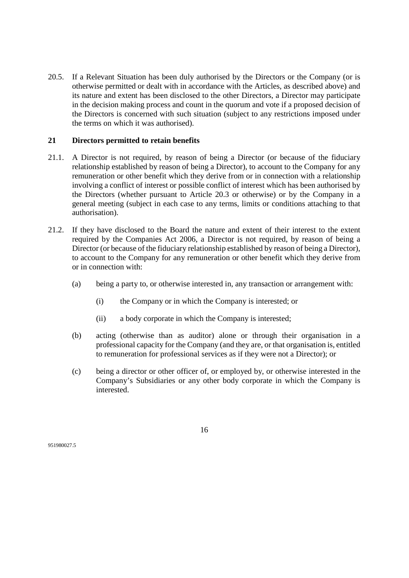20.5. If a Relevant Situation has been duly authorised by the Directors or the Company (or is otherwise permitted or dealt with in accordance with the Articles, as described above) and its nature and extent has been disclosed to the other Directors, a Director may participate in the decision making process and count in the quorum and vote if a proposed decision of the Directors is concerned with such situation (subject to any restrictions imposed under the terms on which it was authorised).

#### **21 Directors permitted to retain benefits**

- 21.1. A Director is not required, by reason of being a Director (or because of the fiduciary relationship established by reason of being a Director), to account to the Company for any remuneration or other benefit which they derive from or in connection with a relationship involving a conflict of interest or possible conflict of interest which has been authorised by the Directors (whether pursuant to Article 20.3 or otherwise) or by the Company in a general meeting (subject in each case to any terms, limits or conditions attaching to that authorisation).
- 21.2. If they have disclosed to the Board the nature and extent of their interest to the extent required by the Companies Act 2006, a Director is not required, by reason of being a Director (or because of the fiduciary relationship established by reason of being a Director), to account to the Company for any remuneration or other benefit which they derive from or in connection with:
	- (a) being a party to, or otherwise interested in, any transaction or arrangement with:
		- (i) the Company or in which the Company is interested; or
		- (ii) a body corporate in which the Company is interested;
	- (b) acting (otherwise than as auditor) alone or through their organisation in a professional capacity for the Company (and they are, or that organisation is, entitled to remuneration for professional services as if they were not a Director); or
	- (c) being a director or other officer of, or employed by, or otherwise interested in the Company's Subsidiaries or any other body corporate in which the Company is interested.

16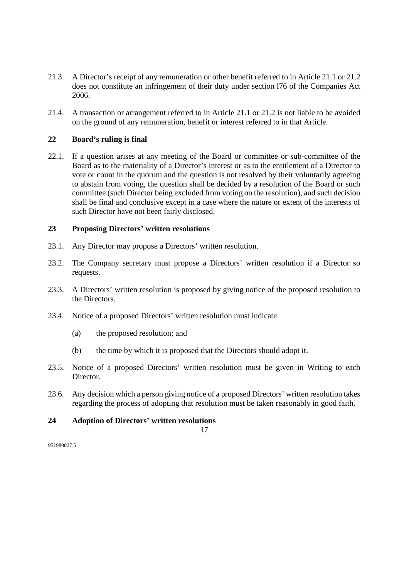- 21.3. A Director's receipt of any remuneration or other benefit referred to in Article 21.1 or 21.2 does not constitute an infringement of their duty under section l76 of the Companies Act 2006.
- 21.4. A transaction or arrangement referred to in Article 21.1 or 21.2 is not liable to be avoided on the ground of any remuneration, benefit or interest referred to in that Article.

# **22 Board's ruling is final**

22.1. If a question arises at any meeting of the Board or committee or sub-committee of the Board as to the materiality of a Director's interest or as to the entitlement of a Director to vote or count in the quorum and the question is not resolved by their voluntarily agreeing to abstain from voting, the question shall be decided by a resolution of the Board or such committee (such Director being excluded from voting on the resolution), and such decision shall be final and conclusive except in a case where the nature or extent of the interests of such Director have not been fairly disclosed.

# **23 Proposing Directors' written resolutions**

- 23.1. Any Director may propose a Directors' written resolution.
- 23.2. The Company secretary must propose a Directors' written resolution if a Director so requests.
- 23.3. A Directors' written resolution is proposed by giving notice of the proposed resolution to the Directors.
- 23.4. Notice of a proposed Directors' written resolution must indicate:
	- (a) the proposed resolution; and
	- (b) the time by which it is proposed that the Directors should adopt it.
- 23.5. Notice of a proposed Directors' written resolution must be given in Writing to each Director.
- 23.6. Any decision which a person giving notice of a proposed Directors' written resolution takes regarding the process of adopting that resolution must be taken reasonably in good faith.

# **24 Adoption of Directors' written resolutions**

17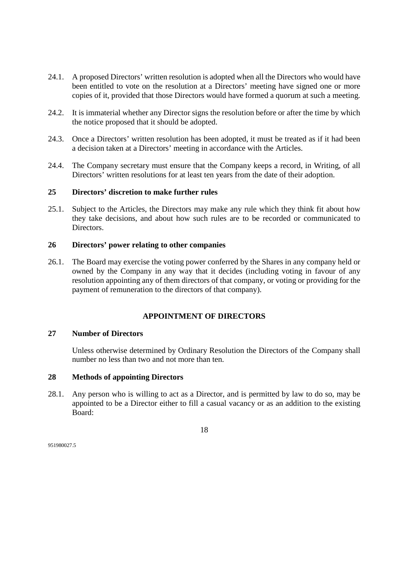- 24.1. A proposed Directors' written resolution is adopted when all the Directors who would have been entitled to vote on the resolution at a Directors' meeting have signed one or more copies of it, provided that those Directors would have formed a quorum at such a meeting.
- 24.2. It is immaterial whether any Director signs the resolution before or after the time by which the notice proposed that it should be adopted.
- 24.3. Once a Directors' written resolution has been adopted, it must be treated as if it had been a decision taken at a Directors' meeting in accordance with the Articles.
- 24.4. The Company secretary must ensure that the Company keeps a record, in Writing, of all Directors' written resolutions for at least ten years from the date of their adoption.

#### **25 Directors' discretion to make further rules**

25.1. Subject to the Articles, the Directors may make any rule which they think fit about how they take decisions, and about how such rules are to be recorded or communicated to Directors.

#### **26 Directors' power relating to other companies**

26.1. The Board may exercise the voting power conferred by the Shares in any company held or owned by the Company in any way that it decides (including voting in favour of any resolution appointing any of them directors of that company, or voting or providing for the payment of remuneration to the directors of that company).

# **APPOINTMENT OF DIRECTORS**

#### **27 Number of Directors**

Unless otherwise determined by Ordinary Resolution the Directors of the Company shall number no less than two and not more than ten.

#### **28 Methods of appointing Directors**

28.1. Any person who is willing to act as a Director, and is permitted by law to do so, may be appointed to be a Director either to fill a casual vacancy or as an addition to the existing Board:

18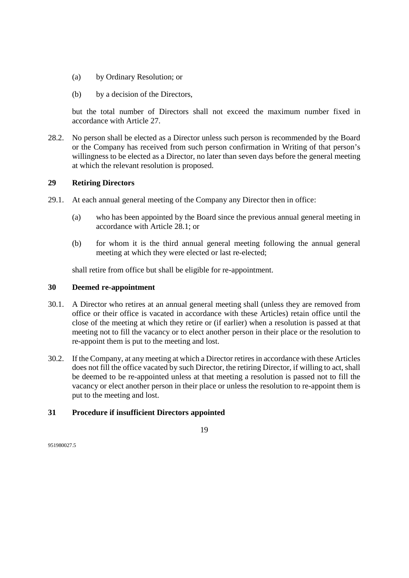- (a) by Ordinary Resolution; or
- (b) by a decision of the Directors,

but the total number of Directors shall not exceed the maximum number fixed in accordance with Article 27.

28.2. No person shall be elected as a Director unless such person is recommended by the Board or the Company has received from such person confirmation in Writing of that person's willingness to be elected as a Director, no later than seven days before the general meeting at which the relevant resolution is proposed.

#### **29 Retiring Directors**

- 29.1. At each annual general meeting of the Company any Director then in office:
	- (a) who has been appointed by the Board since the previous annual general meeting in accordance with Article 28.1; or
	- (b) for whom it is the third annual general meeting following the annual general meeting at which they were elected or last re-elected;

shall retire from office but shall be eligible for re-appointment.

#### **30 Deemed re-appointment**

- 30.1. A Director who retires at an annual general meeting shall (unless they are removed from office or their office is vacated in accordance with these Articles) retain office until the close of the meeting at which they retire or (if earlier) when a resolution is passed at that meeting not to fill the vacancy or to elect another person in their place or the resolution to re-appoint them is put to the meeting and lost.
- 30.2. If the Company, at any meeting at which a Director retires in accordance with these Articles does not fill the office vacated by such Director, the retiring Director, if willing to act, shall be deemed to be re-appointed unless at that meeting a resolution is passed not to fill the vacancy or elect another person in their place or unless the resolution to re-appoint them is put to the meeting and lost.

# **31 Procedure if insufficient Directors appointed**

19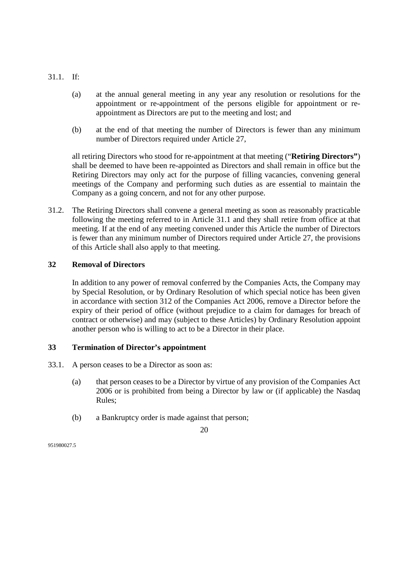#### 31.1. If:

- (a) at the annual general meeting in any year any resolution or resolutions for the appointment or re-appointment of the persons eligible for appointment or reappointment as Directors are put to the meeting and lost; and
- (b) at the end of that meeting the number of Directors is fewer than any minimum number of Directors required under Article 27,

all retiring Directors who stood for re-appointment at that meeting ("**Retiring Directors"**) shall be deemed to have been re-appointed as Directors and shall remain in office but the Retiring Directors may only act for the purpose of filling vacancies, convening general meetings of the Company and performing such duties as are essential to maintain the Company as a going concern, and not for any other purpose.

31.2. The Retiring Directors shall convene a general meeting as soon as reasonably practicable following the meeting referred to in Article 31.1 and they shall retire from office at that meeting. If at the end of any meeting convened under this Article the number of Directors is fewer than any minimum number of Directors required under Article 27, the provisions of this Article shall also apply to that meeting.

#### **32 Removal of Directors**

In addition to any power of removal conferred by the Companies Acts, the Company may by Special Resolution, or by Ordinary Resolution of which special notice has been given in accordance with section 312 of the Companies Act 2006, remove a Director before the expiry of their period of office (without prejudice to a claim for damages for breach of contract or otherwise) and may (subject to these Articles) by Ordinary Resolution appoint another person who is willing to act to be a Director in their place.

# **33 Termination of Director's appointment**

- 33.1. A person ceases to be a Director as soon as:
	- (a) that person ceases to be a Director by virtue of any provision of the Companies Act 2006 or is prohibited from being a Director by law or (if applicable) the Nasdaq Rules;
	- (b) a Bankruptcy order is made against that person;

20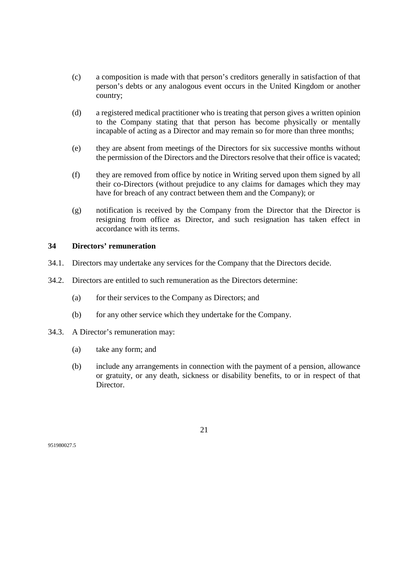- (c) a composition is made with that person's creditors generally in satisfaction of that person's debts or any analogous event occurs in the United Kingdom or another country;
- (d) a registered medical practitioner who is treating that person gives a written opinion to the Company stating that that person has become physically or mentally incapable of acting as a Director and may remain so for more than three months;
- (e) they are absent from meetings of the Directors for six successive months without the permission of the Directors and the Directors resolve that their office is vacated;
- (f) they are removed from office by notice in Writing served upon them signed by all their co-Directors (without prejudice to any claims for damages which they may have for breach of any contract between them and the Company); or
- (g) notification is received by the Company from the Director that the Director is resigning from office as Director, and such resignation has taken effect in accordance with its terms.

#### **34 Directors' remuneration**

- 34.1. Directors may undertake any services for the Company that the Directors decide.
- 34.2. Directors are entitled to such remuneration as the Directors determine:
	- (a) for their services to the Company as Directors; and
	- (b) for any other service which they undertake for the Company.
- 34.3. A Director's remuneration may:
	- (a) take any form; and
	- (b) include any arrangements in connection with the payment of a pension, allowance or gratuity, or any death, sickness or disability benefits, to or in respect of that Director.

21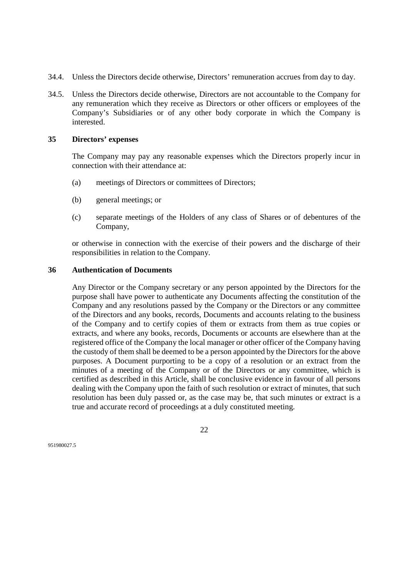- 34.4. Unless the Directors decide otherwise, Directors' remuneration accrues from day to day.
- 34.5. Unless the Directors decide otherwise, Directors are not accountable to the Company for any remuneration which they receive as Directors or other officers or employees of the Company's Subsidiaries or of any other body corporate in which the Company is interested.

#### **35 Directors' expenses**

The Company may pay any reasonable expenses which the Directors properly incur in connection with their attendance at:

- (a) meetings of Directors or committees of Directors;
- (b) general meetings; or
- (c) separate meetings of the Holders of any class of Shares or of debentures of the Company,

or otherwise in connection with the exercise of their powers and the discharge of their responsibilities in relation to the Company.

#### **36 Authentication of Documents**

Any Director or the Company secretary or any person appointed by the Directors for the purpose shall have power to authenticate any Documents affecting the constitution of the Company and any resolutions passed by the Company or the Directors or any committee of the Directors and any books, records, Documents and accounts relating to the business of the Company and to certify copies of them or extracts from them as true copies or extracts, and where any books, records, Documents or accounts are elsewhere than at the registered office of the Company the local manager or other officer of the Company having the custody of them shall be deemed to be a person appointed by the Directors for the above purposes. A Document purporting to be a copy of a resolution or an extract from the minutes of a meeting of the Company or of the Directors or any committee, which is certified as described in this Article, shall be conclusive evidence in favour of all persons dealing with the Company upon the faith of such resolution or extract of minutes, that such resolution has been duly passed or, as the case may be, that such minutes or extract is a true and accurate record of proceedings at a duly constituted meeting.

22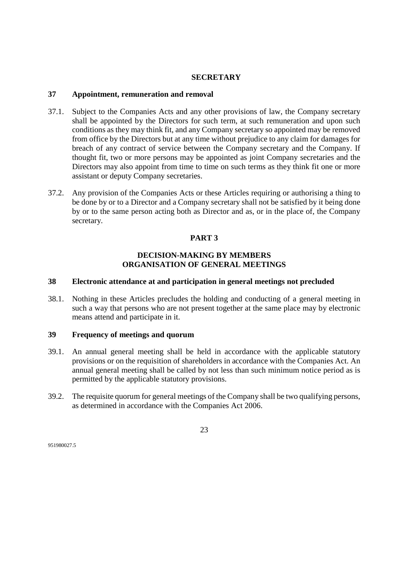# **SECRETARY**

#### **37 Appointment, remuneration and removal**

- 37.1. Subject to the Companies Acts and any other provisions of law, the Company secretary shall be appointed by the Directors for such term, at such remuneration and upon such conditions as they may think fit, and any Company secretary so appointed may be removed from office by the Directors but at any time without prejudice to any claim for damages for breach of any contract of service between the Company secretary and the Company. If thought fit, two or more persons may be appointed as joint Company secretaries and the Directors may also appoint from time to time on such terms as they think fit one or more assistant or deputy Company secretaries.
- 37.2. Any provision of the Companies Acts or these Articles requiring or authorising a thing to be done by or to a Director and a Company secretary shall not be satisfied by it being done by or to the same person acting both as Director and as, or in the place of, the Company secretary.

# **PART 3**

#### **DECISION-MAKING BY MEMBERS ORGANISATION OF GENERAL MEETINGS**

# **38 Electronic attendance at and participation in general meetings not precluded**

38.1. Nothing in these Articles precludes the holding and conducting of a general meeting in such a way that persons who are not present together at the same place may by electronic means attend and participate in it.

#### **39 Frequency of meetings and quorum**

- 39.1. An annual general meeting shall be held in accordance with the applicable statutory provisions or on the requisition of shareholders in accordance with the Companies Act. An annual general meeting shall be called by not less than such minimum notice period as is permitted by the applicable statutory provisions.
- 39.2. The requisite quorum for general meetings of the Company shall be two qualifying persons, as determined in accordance with the Companies Act 2006.

23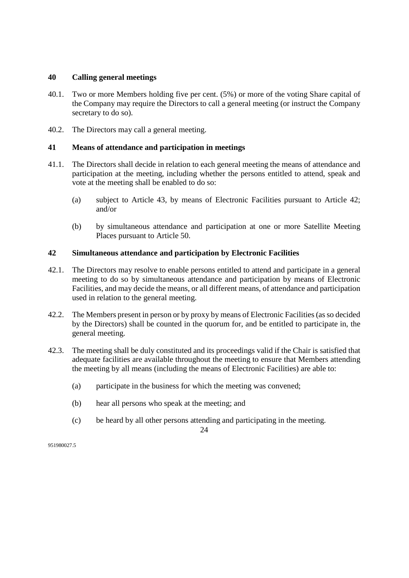# **40 Calling general meetings**

- 40.1. Two or more Members holding five per cent. (5%) or more of the voting Share capital of the Company may require the Directors to call a general meeting (or instruct the Company secretary to do so).
- 40.2. The Directors may call a general meeting.

# **41 Means of attendance and participation in meetings**

- 41.1. The Directors shall decide in relation to each general meeting the means of attendance and participation at the meeting, including whether the persons entitled to attend, speak and vote at the meeting shall be enabled to do so:
	- (a) subject to Article 43, by means of Electronic Facilities pursuant to Article 42; and/or
	- (b) by simultaneous attendance and participation at one or more Satellite Meeting Places pursuant to Article 50.

# **42 Simultaneous attendance and participation by Electronic Facilities**

- 42.1. The Directors may resolve to enable persons entitled to attend and participate in a general meeting to do so by simultaneous attendance and participation by means of Electronic Facilities, and may decide the means, or all different means, of attendance and participation used in relation to the general meeting.
- 42.2. The Members present in person or by proxy by means of Electronic Facilities (as so decided by the Directors) shall be counted in the quorum for, and be entitled to participate in, the general meeting.
- 42.3. The meeting shall be duly constituted and its proceedings valid if the Chair is satisfied that adequate facilities are available throughout the meeting to ensure that Members attending the meeting by all means (including the means of Electronic Facilities) are able to:
	- (a) participate in the business for which the meeting was convened;
	- (b) hear all persons who speak at the meeting; and
	- (c) be heard by all other persons attending and participating in the meeting.

24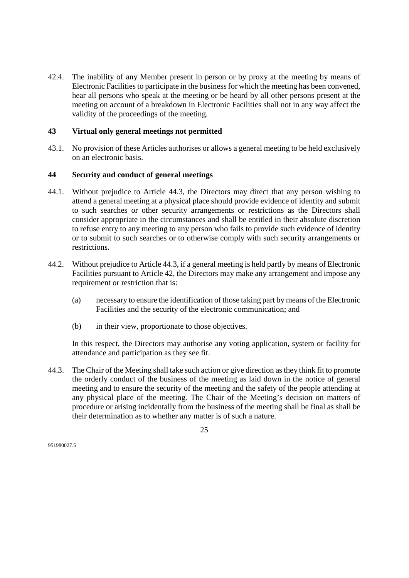42.4. The inability of any Member present in person or by proxy at the meeting by means of Electronic Facilities to participate in the business for which the meeting has been convened, hear all persons who speak at the meeting or be heard by all other persons present at the meeting on account of a breakdown in Electronic Facilities shall not in any way affect the validity of the proceedings of the meeting.

# **43 Virtual only general meetings not permitted**

43.1. No provision of these Articles authorises or allows a general meeting to be held exclusively on an electronic basis.

# **44 Security and conduct of general meetings**

- 44.1. Without prejudice to Article 44.3, the Directors may direct that any person wishing to attend a general meeting at a physical place should provide evidence of identity and submit to such searches or other security arrangements or restrictions as the Directors shall consider appropriate in the circumstances and shall be entitled in their absolute discretion to refuse entry to any meeting to any person who fails to provide such evidence of identity or to submit to such searches or to otherwise comply with such security arrangements or restrictions.
- 44.2. Without prejudice to Article 44.3, if a general meeting is held partly by means of Electronic Facilities pursuant to Article 42, the Directors may make any arrangement and impose any requirement or restriction that is:
	- (a) necessary to ensure the identification of those taking part by means of the Electronic Facilities and the security of the electronic communication; and
	- (b) in their view, proportionate to those objectives.

In this respect, the Directors may authorise any voting application, system or facility for attendance and participation as they see fit.

44.3. The Chair of the Meeting shall take such action or give direction as they think fit to promote the orderly conduct of the business of the meeting as laid down in the notice of general meeting and to ensure the security of the meeting and the safety of the people attending at any physical place of the meeting. The Chair of the Meeting's decision on matters of procedure or arising incidentally from the business of the meeting shall be final as shall be their determination as to whether any matter is of such a nature.

25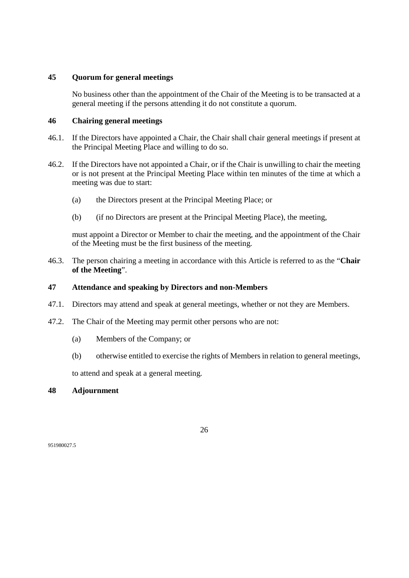#### **45 Quorum for general meetings**

No business other than the appointment of the Chair of the Meeting is to be transacted at a general meeting if the persons attending it do not constitute a quorum.

#### **46 Chairing general meetings**

- 46.1. If the Directors have appointed a Chair, the Chair shall chair general meetings if present at the Principal Meeting Place and willing to do so.
- 46.2. If the Directors have not appointed a Chair, or if the Chair is unwilling to chair the meeting or is not present at the Principal Meeting Place within ten minutes of the time at which a meeting was due to start:
	- (a) the Directors present at the Principal Meeting Place; or
	- (b) (if no Directors are present at the Principal Meeting Place), the meeting,

must appoint a Director or Member to chair the meeting, and the appointment of the Chair of the Meeting must be the first business of the meeting.

46.3. The person chairing a meeting in accordance with this Article is referred to as the "**Chair of the Meeting**".

#### **47 Attendance and speaking by Directors and non-Members**

- 47.1. Directors may attend and speak at general meetings, whether or not they are Members.
- 47.2. The Chair of the Meeting may permit other persons who are not:
	- (a) Members of the Company; or
	- (b) otherwise entitled to exercise the rights of Members in relation to general meetings,

to attend and speak at a general meeting.

# **48 Adjournment**

26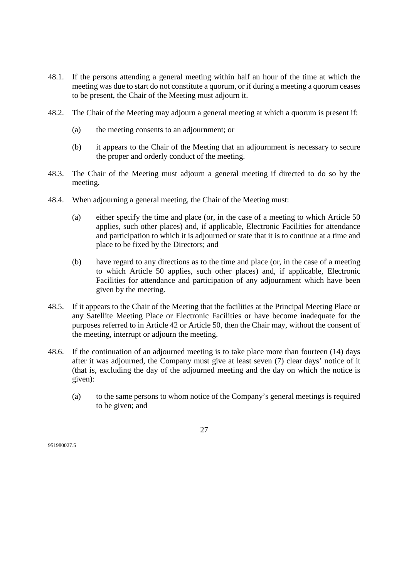- 48.1. If the persons attending a general meeting within half an hour of the time at which the meeting was due to start do not constitute a quorum, or if during a meeting a quorum ceases to be present, the Chair of the Meeting must adjourn it.
- 48.2. The Chair of the Meeting may adjourn a general meeting at which a quorum is present if:
	- (a) the meeting consents to an adjournment; or
	- (b) it appears to the Chair of the Meeting that an adjournment is necessary to secure the proper and orderly conduct of the meeting.
- 48.3. The Chair of the Meeting must adjourn a general meeting if directed to do so by the meeting.
- 48.4. When adjourning a general meeting, the Chair of the Meeting must:
	- (a) either specify the time and place (or, in the case of a meeting to which Article 50 applies, such other places) and, if applicable, Electronic Facilities for attendance and participation to which it is adjourned or state that it is to continue at a time and place to be fixed by the Directors; and
	- (b) have regard to any directions as to the time and place (or, in the case of a meeting to which Article 50 applies, such other places) and, if applicable, Electronic Facilities for attendance and participation of any adjournment which have been given by the meeting.
- 48.5. If it appears to the Chair of the Meeting that the facilities at the Principal Meeting Place or any Satellite Meeting Place or Electronic Facilities or have become inadequate for the purposes referred to in Article 42 or Article 50, then the Chair may, without the consent of the meeting, interrupt or adjourn the meeting.
- 48.6. If the continuation of an adjourned meeting is to take place more than fourteen (14) days after it was adjourned, the Company must give at least seven (7) clear days' notice of it (that is, excluding the day of the adjourned meeting and the day on which the notice is given):
	- (a) to the same persons to whom notice of the Company's general meetings is required to be given; and

27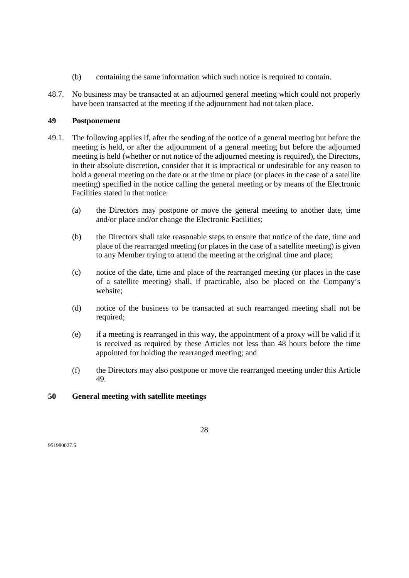- (b) containing the same information which such notice is required to contain.
- 48.7. No business may be transacted at an adjourned general meeting which could not properly have been transacted at the meeting if the adjournment had not taken place.

# **49 Postponement**

- 49.1. The following applies if, after the sending of the notice of a general meeting but before the meeting is held, or after the adjournment of a general meeting but before the adjourned meeting is held (whether or not notice of the adjourned meeting is required), the Directors, in their absolute discretion, consider that it is impractical or undesirable for any reason to hold a general meeting on the date or at the time or place (or places in the case of a satellite meeting) specified in the notice calling the general meeting or by means of the Electronic Facilities stated in that notice:
	- (a) the Directors may postpone or move the general meeting to another date, time and/or place and/or change the Electronic Facilities;
	- (b) the Directors shall take reasonable steps to ensure that notice of the date, time and place of the rearranged meeting (or places in the case of a satellite meeting) is given to any Member trying to attend the meeting at the original time and place;
	- (c) notice of the date, time and place of the rearranged meeting (or places in the case of a satellite meeting) shall, if practicable, also be placed on the Company's website;
	- (d) notice of the business to be transacted at such rearranged meeting shall not be required;
	- (e) if a meeting is rearranged in this way, the appointment of a proxy will be valid if it is received as required by these Articles not less than 48 hours before the time appointed for holding the rearranged meeting; and
	- (f) the Directors may also postpone or move the rearranged meeting under this Article 49.

# **50 General meeting with satellite meetings**

28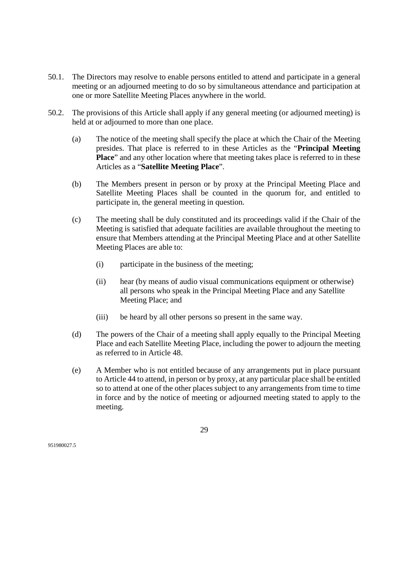- 50.1. The Directors may resolve to enable persons entitled to attend and participate in a general meeting or an adjourned meeting to do so by simultaneous attendance and participation at one or more Satellite Meeting Places anywhere in the world.
- 50.2. The provisions of this Article shall apply if any general meeting (or adjourned meeting) is held at or adjourned to more than one place.
	- (a) The notice of the meeting shall specify the place at which the Chair of the Meeting presides. That place is referred to in these Articles as the "**Principal Meeting Place**" and any other location where that meeting takes place is referred to in these Articles as a "**Satellite Meeting Place**".
	- (b) The Members present in person or by proxy at the Principal Meeting Place and Satellite Meeting Places shall be counted in the quorum for, and entitled to participate in, the general meeting in question.
	- (c) The meeting shall be duly constituted and its proceedings valid if the Chair of the Meeting is satisfied that adequate facilities are available throughout the meeting to ensure that Members attending at the Principal Meeting Place and at other Satellite Meeting Places are able to:
		- (i) participate in the business of the meeting;
		- (ii) hear (by means of audio visual communications equipment or otherwise) all persons who speak in the Principal Meeting Place and any Satellite Meeting Place; and
		- (iii) be heard by all other persons so present in the same way.
	- (d) The powers of the Chair of a meeting shall apply equally to the Principal Meeting Place and each Satellite Meeting Place, including the power to adjourn the meeting as referred to in Article 48.
	- (e) A Member who is not entitled because of any arrangements put in place pursuant to Article 44 to attend, in person or by proxy, at any particular place shall be entitled so to attend at one of the other places subject to any arrangements from time to time in force and by the notice of meeting or adjourned meeting stated to apply to the meeting.

29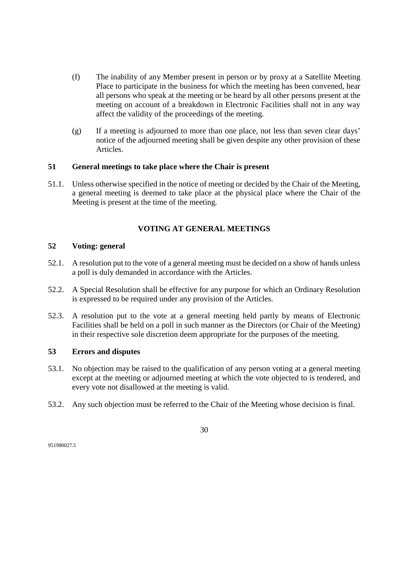- (f) The inability of any Member present in person or by proxy at a Satellite Meeting Place to participate in the business for which the meeting has been convened, hear all persons who speak at the meeting or be heard by all other persons present at the meeting on account of a breakdown in Electronic Facilities shall not in any way affect the validity of the proceedings of the meeting.
- (g) If a meeting is adjourned to more than one place, not less than seven clear days' notice of the adjourned meeting shall be given despite any other provision of these Articles.

# **51 General meetings to take place where the Chair is present**

51.1. Unless otherwise specified in the notice of meeting or decided by the Chair of the Meeting, a general meeting is deemed to take place at the physical place where the Chair of the Meeting is present at the time of the meeting.

# **VOTING AT GENERAL MEETINGS**

### **52 Voting: general**

- 52.1. A resolution put to the vote of a general meeting must be decided on a show of hands unless a poll is duly demanded in accordance with the Articles.
- 52.2. A Special Resolution shall be effective for any purpose for which an Ordinary Resolution is expressed to be required under any provision of the Articles.
- 52.3. A resolution put to the vote at a general meeting held partly by means of Electronic Facilities shall be held on a poll in such manner as the Directors (or Chair of the Meeting) in their respective sole discretion deem appropriate for the purposes of the meeting.

### **53 Errors and disputes**

- 53.1. No objection may be raised to the qualification of any person voting at a general meeting except at the meeting or adjourned meeting at which the vote objected to is tendered, and every vote not disallowed at the meeting is valid.
- 53.2. Any such objection must be referred to the Chair of the Meeting whose decision is final.

30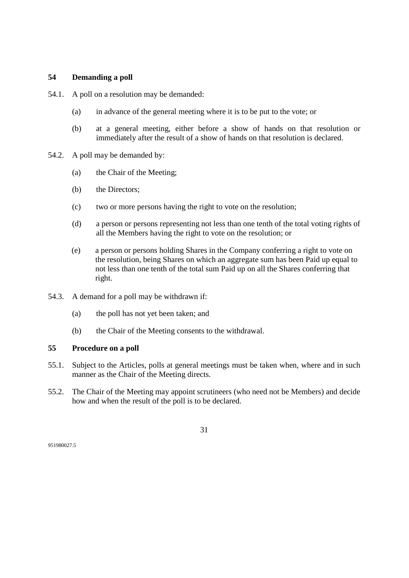## **54 Demanding a poll**

- 54.1. A poll on a resolution may be demanded:
	- (a) in advance of the general meeting where it is to be put to the vote; or
	- (b) at a general meeting, either before a show of hands on that resolution or immediately after the result of a show of hands on that resolution is declared.
- 54.2. A poll may be demanded by:
	- (a) the Chair of the Meeting;
	- (b) the Directors:
	- (c) two or more persons having the right to vote on the resolution;
	- (d) a person or persons representing not less than one tenth of the total voting rights of all the Members having the right to vote on the resolution; or
	- (e) a person or persons holding Shares in the Company conferring a right to vote on the resolution, being Shares on which an aggregate sum has been Paid up equal to not less than one tenth of the total sum Paid up on all the Shares conferring that right.
- 54.3. A demand for a poll may be withdrawn if:
	- (a) the poll has not yet been taken; and
	- (b) the Chair of the Meeting consents to the withdrawal.

#### **55 Procedure on a poll**

- 55.1. Subject to the Articles, polls at general meetings must be taken when, where and in such manner as the Chair of the Meeting directs.
- 55.2. The Chair of the Meeting may appoint scrutineers (who need not be Members) and decide how and when the result of the poll is to be declared.

31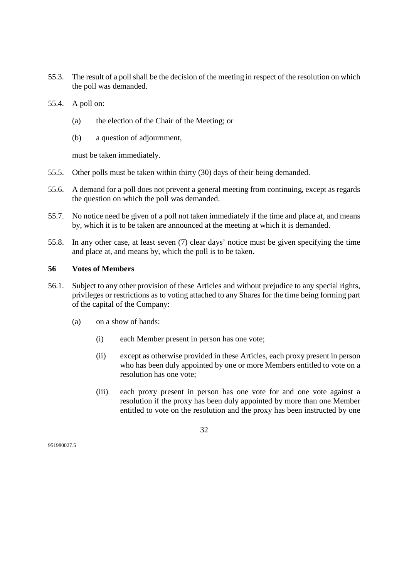- 55.3. The result of a poll shall be the decision of the meeting in respect of the resolution on which the poll was demanded.
- 55.4. A poll on:
	- (a) the election of the Chair of the Meeting; or
	- (b) a question of adjournment,

must be taken immediately.

- 55.5. Other polls must be taken within thirty (30) days of their being demanded.
- 55.6. A demand for a poll does not prevent a general meeting from continuing, except as regards the question on which the poll was demanded.
- 55.7. No notice need be given of a poll not taken immediately if the time and place at, and means by, which it is to be taken are announced at the meeting at which it is demanded.
- 55.8. In any other case, at least seven (7) clear days' notice must be given specifying the time and place at, and means by, which the poll is to be taken.

## **56 Votes of Members**

- 56.1. Subject to any other provision of these Articles and without prejudice to any special rights, privileges or restrictions as to voting attached to any Shares for the time being forming part of the capital of the Company:
	- (a) on a show of hands:
		- (i) each Member present in person has one vote;
		- (ii) except as otherwise provided in these Articles, each proxy present in person who has been duly appointed by one or more Members entitled to vote on a resolution has one vote;
		- (iii) each proxy present in person has one vote for and one vote against a resolution if the proxy has been duly appointed by more than one Member entitled to vote on the resolution and the proxy has been instructed by one

32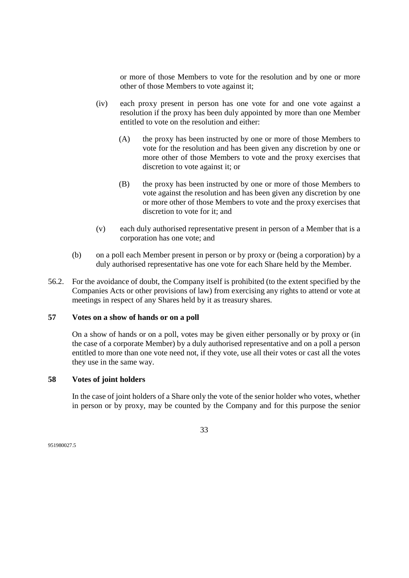or more of those Members to vote for the resolution and by one or more other of those Members to vote against it;

- (iv) each proxy present in person has one vote for and one vote against a resolution if the proxy has been duly appointed by more than one Member entitled to vote on the resolution and either:
	- (A) the proxy has been instructed by one or more of those Members to vote for the resolution and has been given any discretion by one or more other of those Members to vote and the proxy exercises that discretion to vote against it; or
	- (B) the proxy has been instructed by one or more of those Members to vote against the resolution and has been given any discretion by one or more other of those Members to vote and the proxy exercises that discretion to vote for it; and
- (v) each duly authorised representative present in person of a Member that is a corporation has one vote; and
- (b) on a poll each Member present in person or by proxy or (being a corporation) by a duly authorised representative has one vote for each Share held by the Member.
- 56.2. For the avoidance of doubt, the Company itself is prohibited (to the extent specified by the Companies Acts or other provisions of law) from exercising any rights to attend or vote at meetings in respect of any Shares held by it as treasury shares.

#### **57 Votes on a show of hands or on a poll**

On a show of hands or on a poll, votes may be given either personally or by proxy or (in the case of a corporate Member) by a duly authorised representative and on a poll a person entitled to more than one vote need not, if they vote, use all their votes or cast all the votes they use in the same way.

#### **58 Votes of joint holders**

In the case of joint holders of a Share only the vote of the senior holder who votes, whether in person or by proxy, may be counted by the Company and for this purpose the senior

33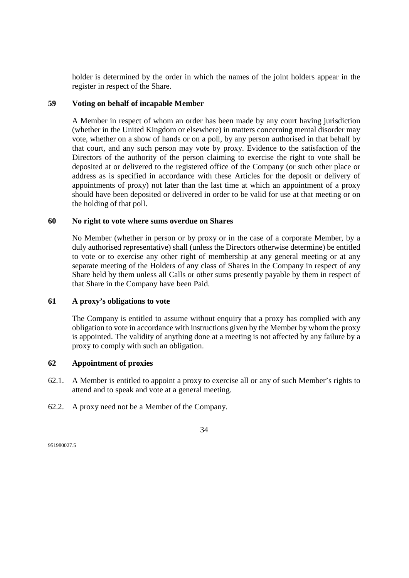holder is determined by the order in which the names of the joint holders appear in the register in respect of the Share.

### **59 Voting on behalf of incapable Member**

A Member in respect of whom an order has been made by any court having jurisdiction (whether in the United Kingdom or elsewhere) in matters concerning mental disorder may vote, whether on a show of hands or on a poll, by any person authorised in that behalf by that court, and any such person may vote by proxy. Evidence to the satisfaction of the Directors of the authority of the person claiming to exercise the right to vote shall be deposited at or delivered to the registered office of the Company (or such other place or address as is specified in accordance with these Articles for the deposit or delivery of appointments of proxy) not later than the last time at which an appointment of a proxy should have been deposited or delivered in order to be valid for use at that meeting or on the holding of that poll.

### **60 No right to vote where sums overdue on Shares**

No Member (whether in person or by proxy or in the case of a corporate Member, by a duly authorised representative) shall (unless the Directors otherwise determine) be entitled to vote or to exercise any other right of membership at any general meeting or at any separate meeting of the Holders of any class of Shares in the Company in respect of any Share held by them unless all Calls or other sums presently payable by them in respect of that Share in the Company have been Paid.

#### **61 A proxy's obligations to vote**

The Company is entitled to assume without enquiry that a proxy has complied with any obligation to vote in accordance with instructions given by the Member by whom the proxy is appointed. The validity of anything done at a meeting is not affected by any failure by a proxy to comply with such an obligation.

#### **62 Appointment of proxies**

- 62.1. A Member is entitled to appoint a proxy to exercise all or any of such Member's rights to attend and to speak and vote at a general meeting.
- 62.2. A proxy need not be a Member of the Company.

34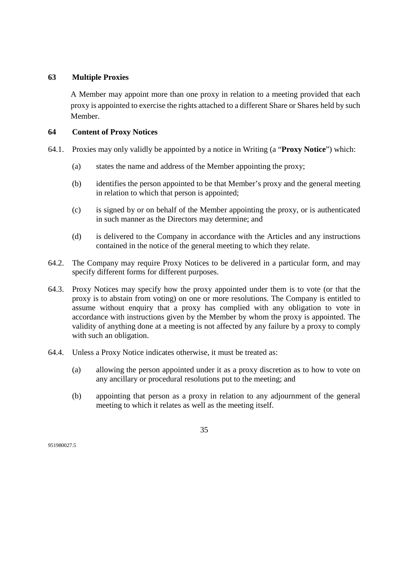# **63 Multiple Proxies**

A Member may appoint more than one proxy in relation to a meeting provided that each proxy is appointed to exercise the rights attached to a different Share or Shares held by such Member.

# **64 Content of Proxy Notices**

- 64.1. Proxies may only validly be appointed by a notice in Writing (a "**Proxy Notice**") which:
	- (a) states the name and address of the Member appointing the proxy;
	- (b) identifies the person appointed to be that Member's proxy and the general meeting in relation to which that person is appointed;
	- (c) is signed by or on behalf of the Member appointing the proxy, or is authenticated in such manner as the Directors may determine; and
	- (d) is delivered to the Company in accordance with the Articles and any instructions contained in the notice of the general meeting to which they relate.
- 64.2. The Company may require Proxy Notices to be delivered in a particular form, and may specify different forms for different purposes.
- 64.3. Proxy Notices may specify how the proxy appointed under them is to vote (or that the proxy is to abstain from voting) on one or more resolutions. The Company is entitled to assume without enquiry that a proxy has complied with any obligation to vote in accordance with instructions given by the Member by whom the proxy is appointed. The validity of anything done at a meeting is not affected by any failure by a proxy to comply with such an obligation.
- 64.4. Unless a Proxy Notice indicates otherwise, it must be treated as:
	- (a) allowing the person appointed under it as a proxy discretion as to how to vote on any ancillary or procedural resolutions put to the meeting; and
	- (b) appointing that person as a proxy in relation to any adjournment of the general meeting to which it relates as well as the meeting itself.

35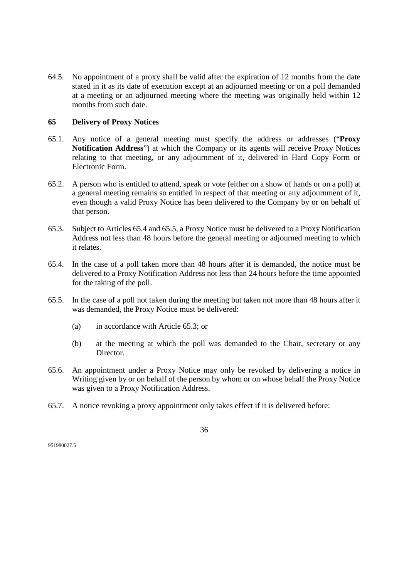64.5. No appointment of a proxy shall be valid after the expiration of 12 months from the date stated in it as its date of execution except at an adjourned meeting or on a poll demanded at a meeting or an adjourned meeting where the meeting was originally held within 12 months from such date.

## **65 Delivery of Proxy Notices**

- 65.1. Any notice of a general meeting must specify the address or addresses ("**Proxy Notification Address**") at which the Company or its agents will receive Proxy Notices relating to that meeting, or any adjournment of it, delivered in Hard Copy Form or Electronic Form.
- 65.2. A person who is entitled to attend, speak or vote (either on a show of hands or on a poll) at a general meeting remains so entitled in respect of that meeting or any adjournment of it, even though a valid Proxy Notice has been delivered to the Company by or on behalf of that person.
- 65.3. Subject to Articles 65.4 and 65.5, a Proxy Notice must be delivered to a Proxy Notification Address not less than 48 hours before the general meeting or adjourned meeting to which it relates.
- 65.4. In the case of a poll taken more than 48 hours after it is demanded, the notice must be delivered to a Proxy Notification Address not less than 24 hours before the time appointed for the taking of the poll.
- 65.5. In the case of a poll not taken during the meeting but taken not more than 48 hours after it was demanded, the Proxy Notice must be delivered:
	- (a) in accordance with Article 65.3; or
	- (b) at the meeting at which the poll was demanded to the Chair, secretary or any Director.
- 65.6. An appointment under a Proxy Notice may only be revoked by delivering a notice in Writing given by or on behalf of the person by whom or on whose behalf the Proxy Notice was given to a Proxy Notification Address.
- 65.7. A notice revoking a proxy appointment only takes effect if it is delivered before:

36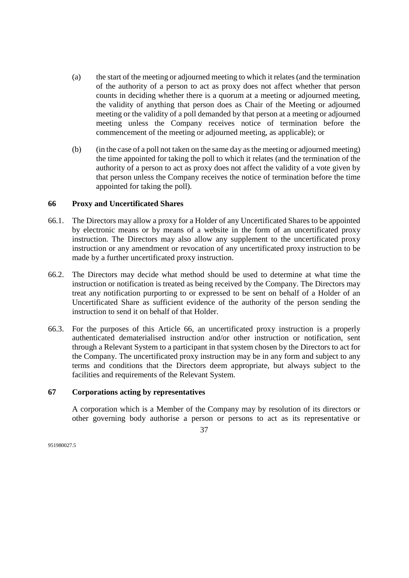- (a) the start of the meeting or adjourned meeting to which it relates (and the termination of the authority of a person to act as proxy does not affect whether that person counts in deciding whether there is a quorum at a meeting or adjourned meeting, the validity of anything that person does as Chair of the Meeting or adjourned meeting or the validity of a poll demanded by that person at a meeting or adjourned meeting unless the Company receives notice of termination before the commencement of the meeting or adjourned meeting, as applicable); or
- (b) (in the case of a poll not taken on the same day as the meeting or adjourned meeting) the time appointed for taking the poll to which it relates (and the termination of the authority of a person to act as proxy does not affect the validity of a vote given by that person unless the Company receives the notice of termination before the time appointed for taking the poll).

### **66 Proxy and Uncertificated Shares**

- 66.1. The Directors may allow a proxy for a Holder of any Uncertificated Shares to be appointed by electronic means or by means of a website in the form of an uncertificated proxy instruction. The Directors may also allow any supplement to the uncertificated proxy instruction or any amendment or revocation of any uncertificated proxy instruction to be made by a further uncertificated proxy instruction.
- 66.2. The Directors may decide what method should be used to determine at what time the instruction or notification is treated as being received by the Company. The Directors may treat any notification purporting to or expressed to be sent on behalf of a Holder of an Uncertificated Share as sufficient evidence of the authority of the person sending the instruction to send it on behalf of that Holder.
- 66.3. For the purposes of this Article 66, an uncertificated proxy instruction is a properly authenticated dematerialised instruction and/or other instruction or notification, sent through a Relevant System to a participant in that system chosen by the Directors to act for the Company. The uncertificated proxy instruction may be in any form and subject to any terms and conditions that the Directors deem appropriate, but always subject to the facilities and requirements of the Relevant System.

# **67 Corporations acting by representatives**

A corporation which is a Member of the Company may by resolution of its directors or other governing body authorise a person or persons to act as its representative or

37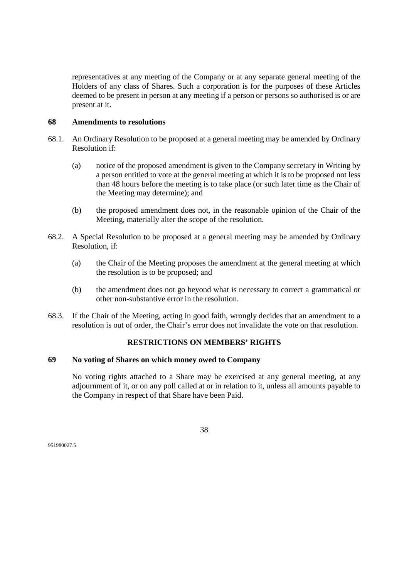representatives at any meeting of the Company or at any separate general meeting of the Holders of any class of Shares. Such a corporation is for the purposes of these Articles deemed to be present in person at any meeting if a person or persons so authorised is or are present at it.

### **68 Amendments to resolutions**

- 68.1. An Ordinary Resolution to be proposed at a general meeting may be amended by Ordinary Resolution if:
	- (a) notice of the proposed amendment is given to the Company secretary in Writing by a person entitled to vote at the general meeting at which it is to be proposed not less than 48 hours before the meeting is to take place (or such later time as the Chair of the Meeting may determine); and
	- (b) the proposed amendment does not, in the reasonable opinion of the Chair of the Meeting, materially alter the scope of the resolution.
- 68.2. A Special Resolution to be proposed at a general meeting may be amended by Ordinary Resolution, if:
	- (a) the Chair of the Meeting proposes the amendment at the general meeting at which the resolution is to be proposed; and
	- (b) the amendment does not go beyond what is necessary to correct a grammatical or other non-substantive error in the resolution.
- 68.3. If the Chair of the Meeting, acting in good faith, wrongly decides that an amendment to a resolution is out of order, the Chair's error does not invalidate the vote on that resolution.

# **RESTRICTIONS ON MEMBERS' RIGHTS**

## **69 No voting of Shares on which money owed to Company**

No voting rights attached to a Share may be exercised at any general meeting, at any adjournment of it, or on any poll called at or in relation to it, unless all amounts payable to the Company in respect of that Share have been Paid.

38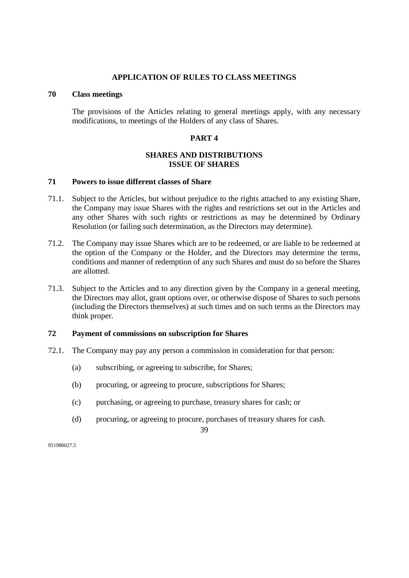## **APPLICATION OF RULES TO CLASS MEETINGS**

### **70 Class meetings**

The provisions of the Articles relating to general meetings apply, with any necessary modifications, to meetings of the Holders of any class of Shares.

### **PART 4**

### **SHARES AND DISTRIBUTIONS ISSUE OF SHARES**

#### **71 Powers to issue different classes of Share**

- 71.1. Subject to the Articles, but without prejudice to the rights attached to any existing Share, the Company may issue Shares with the rights and restrictions set out in the Articles and any other Shares with such rights or restrictions as may be determined by Ordinary Resolution (or failing such determination, as the Directors may determine).
- 71.2. The Company may issue Shares which are to be redeemed, or are liable to be redeemed at the option of the Company or the Holder, and the Directors may determine the terms, conditions and manner of redemption of any such Shares and must do so before the Shares are allotted.
- 71.3. Subject to the Articles and to any direction given by the Company in a general meeting, the Directors may allot, grant options over, or otherwise dispose of Shares to such persons (including the Directors themselves) at such times and on such terms as the Directors may think proper.

#### **72 Payment of commissions on subscription for Shares**

- 72.1. The Company may pay any person a commission in consideration for that person:
	- (a) subscribing, or agreeing to subscribe, for Shares;
	- (b) procuring, or agreeing to procure, subscriptions for Shares;
	- (c) purchasing, or agreeing to purchase, treasury shares for cash; or
	- (d) procuring, or agreeing to procure, purchases of treasury shares for cash.

39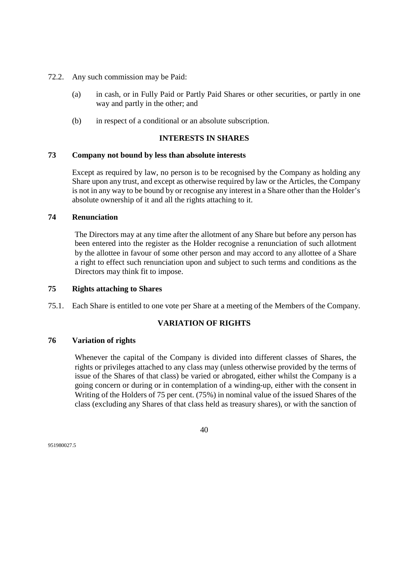- 72.2. Any such commission may be Paid:
	- (a) in cash, or in Fully Paid or Partly Paid Shares or other securities, or partly in one way and partly in the other; and
	- (b) in respect of a conditional or an absolute subscription.

## **INTERESTS IN SHARES**

## **73 Company not bound by less than absolute interests**

Except as required by law, no person is to be recognised by the Company as holding any Share upon any trust, and except as otherwise required by law or the Articles, the Company is not in any way to be bound by or recognise any interest in a Share other than the Holder's absolute ownership of it and all the rights attaching to it.

## **74 Renunciation**

The Directors may at any time after the allotment of any Share but before any person has been entered into the register as the Holder recognise a renunciation of such allotment by the allottee in favour of some other person and may accord to any allottee of a Share a right to effect such renunciation upon and subject to such terms and conditions as the Directors may think fit to impose.

### **75 Rights attaching to Shares**

75.1. Each Share is entitled to one vote per Share at a meeting of the Members of the Company.

# **VARIATION OF RIGHTS**

# **76 Variation of rights**

Whenever the capital of the Company is divided into different classes of Shares, the rights or privileges attached to any class may (unless otherwise provided by the terms of issue of the Shares of that class) be varied or abrogated, either whilst the Company is a going concern or during or in contemplation of a winding-up, either with the consent in Writing of the Holders of 75 per cent. (75%) in nominal value of the issued Shares of the class (excluding any Shares of that class held as treasury shares), or with the sanction of

40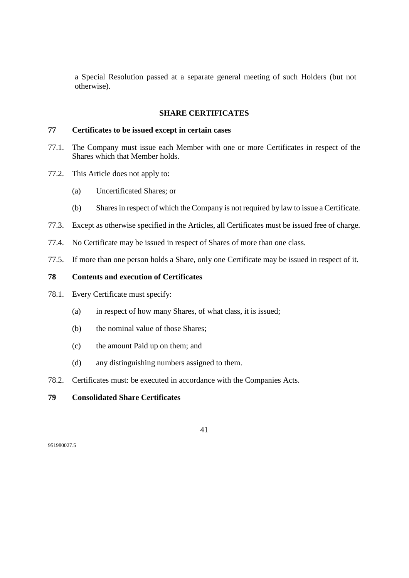a Special Resolution passed at a separate general meeting of such Holders (but not otherwise).

## **SHARE CERTIFICATES**

### **77 Certificates to be issued except in certain cases**

- 77.1. The Company must issue each Member with one or more Certificates in respect of the Shares which that Member holds.
- 77.2. This Article does not apply to:
	- (a) Uncertificated Shares; or
	- (b) Shares in respect of which the Company is not required by law to issue a Certificate.
- 77.3. Except as otherwise specified in the Articles, all Certificates must be issued free of charge.
- 77.4. No Certificate may be issued in respect of Shares of more than one class.
- 77.5. If more than one person holds a Share, only one Certificate may be issued in respect of it.

## **78 Contents and execution of Certificates**

- 78.1. Every Certificate must specify:
	- (a) in respect of how many Shares, of what class, it is issued;
	- (b) the nominal value of those Shares;
	- (c) the amount Paid up on them; and
	- (d) any distinguishing numbers assigned to them.
- 78.2. Certificates must: be executed in accordance with the Companies Acts.

# **79 Consolidated Share Certificates**

41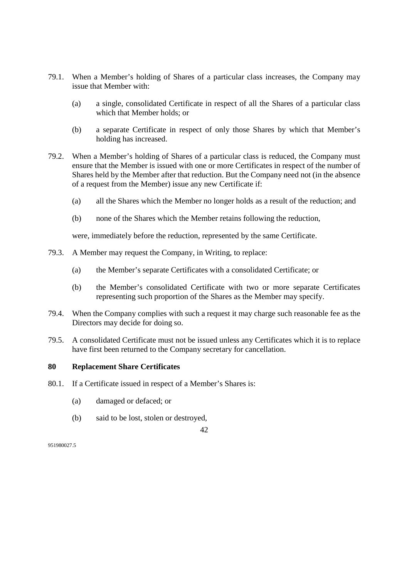- 79.1. When a Member's holding of Shares of a particular class increases, the Company may issue that Member with:
	- (a) a single, consolidated Certificate in respect of all the Shares of a particular class which that Member holds; or
	- (b) a separate Certificate in respect of only those Shares by which that Member's holding has increased.
- 79.2. When a Member's holding of Shares of a particular class is reduced, the Company must ensure that the Member is issued with one or more Certificates in respect of the number of Shares held by the Member after that reduction. But the Company need not (in the absence of a request from the Member) issue any new Certificate if:
	- (a) all the Shares which the Member no longer holds as a result of the reduction; and
	- (b) none of the Shares which the Member retains following the reduction,

were, immediately before the reduction, represented by the same Certificate.

- 79.3. A Member may request the Company, in Writing, to replace:
	- (a) the Member's separate Certificates with a consolidated Certificate; or
	- (b) the Member's consolidated Certificate with two or more separate Certificates representing such proportion of the Shares as the Member may specify.
- 79.4. When the Company complies with such a request it may charge such reasonable fee as the Directors may decide for doing so.
- 79.5. A consolidated Certificate must not be issued unless any Certificates which it is to replace have first been returned to the Company secretary for cancellation.

# **80 Replacement Share Certificates**

- 80.1. If a Certificate issued in respect of a Member's Shares is:
	- (a) damaged or defaced; or
	- (b) said to be lost, stolen or destroyed,

42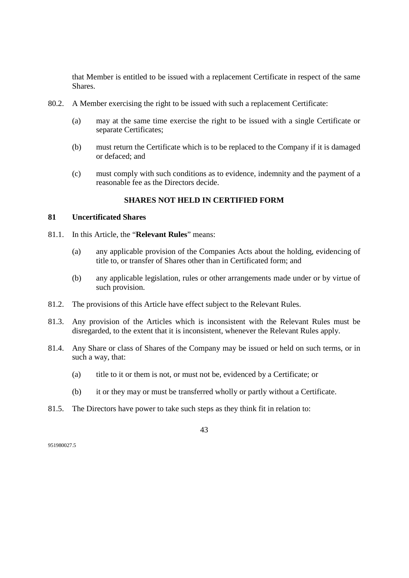that Member is entitled to be issued with a replacement Certificate in respect of the same Shares.

- 80.2. A Member exercising the right to be issued with such a replacement Certificate:
	- (a) may at the same time exercise the right to be issued with a single Certificate or separate Certificates;
	- (b) must return the Certificate which is to be replaced to the Company if it is damaged or defaced; and
	- (c) must comply with such conditions as to evidence, indemnity and the payment of a reasonable fee as the Directors decide.

# **SHARES NOT HELD IN CERTIFIED FORM**

#### **81 Uncertificated Shares**

- 81.1. In this Article, the "**Relevant Rules**" means:
	- (a) any applicable provision of the Companies Acts about the holding, evidencing of title to, or transfer of Shares other than in Certificated form; and
	- (b) any applicable legislation, rules or other arrangements made under or by virtue of such provision.
- 81.2. The provisions of this Article have effect subject to the Relevant Rules.
- 81.3. Any provision of the Articles which is inconsistent with the Relevant Rules must be disregarded, to the extent that it is inconsistent, whenever the Relevant Rules apply.
- 81.4. Any Share or class of Shares of the Company may be issued or held on such terms, or in such a way, that:
	- (a) title to it or them is not, or must not be, evidenced by a Certificate; or
	- (b) it or they may or must be transferred wholly or partly without a Certificate.
- 81.5. The Directors have power to take such steps as they think fit in relation to:

43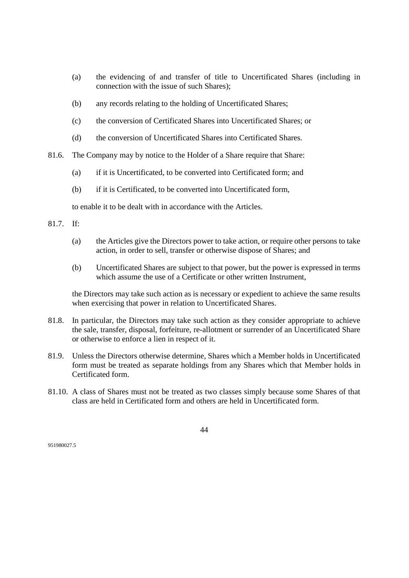- (a) the evidencing of and transfer of title to Uncertificated Shares (including in connection with the issue of such Shares);
- (b) any records relating to the holding of Uncertificated Shares;
- (c) the conversion of Certificated Shares into Uncertificated Shares; or
- (d) the conversion of Uncertificated Shares into Certificated Shares.
- 81.6. The Company may by notice to the Holder of a Share require that Share:
	- (a) if it is Uncertificated, to be converted into Certificated form; and
	- (b) if it is Certificated, to be converted into Uncertificated form,

to enable it to be dealt with in accordance with the Articles.

# 81.7. If:

- (a) the Articles give the Directors power to take action, or require other persons to take action, in order to sell, transfer or otherwise dispose of Shares; and
- (b) Uncertificated Shares are subject to that power, but the power is expressed in terms which assume the use of a Certificate or other written Instrument,

the Directors may take such action as is necessary or expedient to achieve the same results when exercising that power in relation to Uncertificated Shares.

- 81.8. In particular, the Directors may take such action as they consider appropriate to achieve the sale, transfer, disposal, forfeiture, re-allotment or surrender of an Uncertificated Share or otherwise to enforce a lien in respect of it.
- 81.9. Unless the Directors otherwise determine, Shares which a Member holds in Uncertificated form must be treated as separate holdings from any Shares which that Member holds in Certificated form.
- 81.10. A class of Shares must not be treated as two classes simply because some Shares of that class are held in Certificated form and others are held in Uncertificated form.

44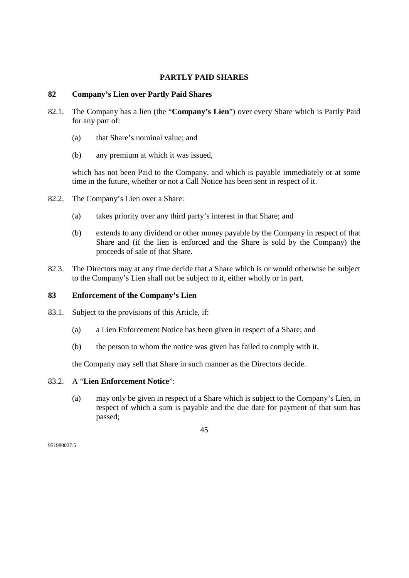# **PARTLY PAID SHARES**

### **82 Company's Lien over Partly Paid Shares**

- 82.1. The Company has a lien (the "**Company's Lien**") over every Share which is Partly Paid for any part of:
	- (a) that Share's nominal value; and
	- (b) any premium at which it was issued,

which has not been Paid to the Company, and which is payable immediately or at some time in the future, whether or not a Call Notice has been sent in respect of it.

- 82.2. The Company's Lien over a Share:
	- (a) takes priority over any third party's interest in that Share; and
	- (b) extends to any dividend or other money payable by the Company in respect of that Share and (if the lien is enforced and the Share is sold by the Company) the proceeds of sale of that Share.
- 82.3. The Directors may at any time decide that a Share which is or would otherwise be subject to the Company's Lien shall not be subject to it, either wholly or in part.

#### **83 Enforcement of the Company's Lien**

- 83.1. Subject to the provisions of this Article, if:
	- (a) a Lien Enforcement Notice has been given in respect of a Share; and
	- (b) the person to whom the notice was given has failed to comply with it,

the Company may sell that Share in such manner as the Directors decide.

#### 83.2. A "**Lien Enforcement Notice**":

(a) may only be given in respect of a Share which is subject to the Company's Lien, in respect of which a sum is payable and the due date for payment of that sum has passed;

45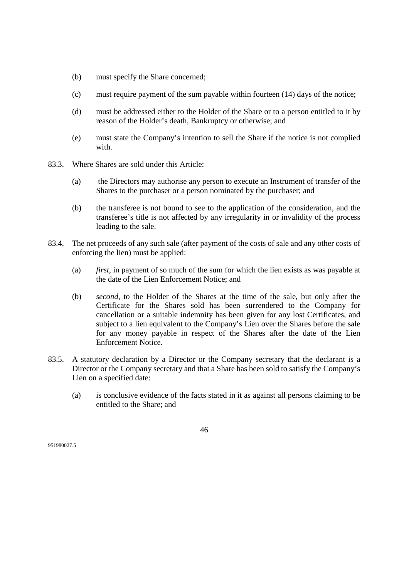- (b) must specify the Share concerned;
- (c) must require payment of the sum payable within fourteen (14) days of the notice;
- (d) must be addressed either to the Holder of the Share or to a person entitled to it by reason of the Holder's death, Bankruptcy or otherwise; and
- (e) must state the Company's intention to sell the Share if the notice is not complied with.
- 83.3. Where Shares are sold under this Article:
	- (a) the Directors may authorise any person to execute an Instrument of transfer of the Shares to the purchaser or a person nominated by the purchaser; and
	- (b) the transferee is not bound to see to the application of the consideration, and the transferee's title is not affected by any irregularity in or invalidity of the process leading to the sale.
- 83.4. The net proceeds of any such sale (after payment of the costs of sale and any other costs of enforcing the lien) must be applied:
	- (a) *first*, in payment of so much of the sum for which the lien exists as was payable at the date of the Lien Enforcement Notice; and
	- (b) *second*, to the Holder of the Shares at the time of the sale, but only after the Certificate for the Shares sold has been surrendered to the Company for cancellation or a suitable indemnity has been given for any lost Certificates, and subject to a lien equivalent to the Company's Lien over the Shares before the sale for any money payable in respect of the Shares after the date of the Lien Enforcement Notice.
- 83.5. A statutory declaration by a Director or the Company secretary that the declarant is a Director or the Company secretary and that a Share has been sold to satisfy the Company's Lien on a specified date:
	- (a) is conclusive evidence of the facts stated in it as against all persons claiming to be entitled to the Share; and

46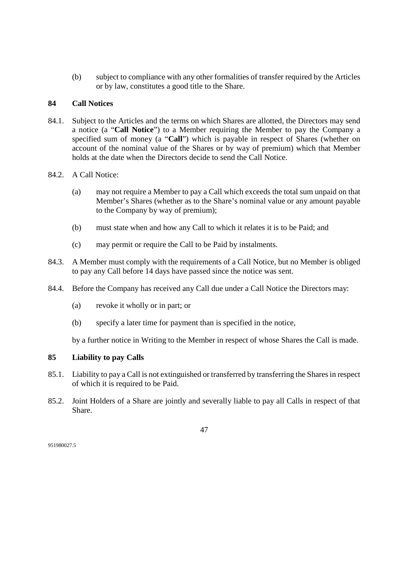(b) subject to compliance with any other formalities of transfer required by the Articles or by law, constitutes a good title to the Share.

# **84 Call Notices**

84.1. Subject to the Articles and the terms on which Shares are allotted, the Directors may send a notice (a "**Call Notice**") to a Member requiring the Member to pay the Company a specified sum of money (a "**Call**") which is payable in respect of Shares (whether on account of the nominal value of the Shares or by way of premium) which that Member holds at the date when the Directors decide to send the Call Notice.

## 84.2. A Call Notice:

- (a) may not require a Member to pay a Call which exceeds the total sum unpaid on that Member's Shares (whether as to the Share's nominal value or any amount payable to the Company by way of premium);
- (b) must state when and how any Call to which it relates it is to be Paid; and
- (c) may permit or require the Call to be Paid by instalments.
- 84.3. A Member must comply with the requirements of a Call Notice, but no Member is obliged to pay any Call before 14 days have passed since the notice was sent.
- 84.4. Before the Company has received any Call due under a Call Notice the Directors may:
	- (a) revoke it wholly or in part; or
	- (b) specify a later time for payment than is specified in the notice,

by a further notice in Writing to the Member in respect of whose Shares the Call is made.

#### **85 Liability to pay Calls**

- 85.1. Liability to pay a Call is not extinguished or transferred by transferring the Shares in respect of which it is required to be Paid.
- 85.2. Joint Holders of a Share are jointly and severally liable to pay all Calls in respect of that Share.

47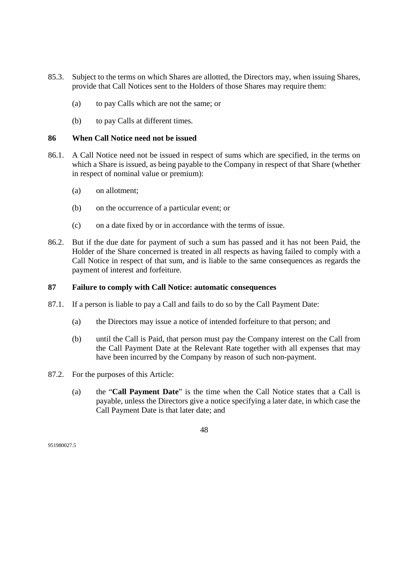- 85.3. Subject to the terms on which Shares are allotted, the Directors may, when issuing Shares, provide that Call Notices sent to the Holders of those Shares may require them:
	- (a) to pay Calls which are not the same; or
	- (b) to pay Calls at different times.

#### **86 When Call Notice need not be issued**

- 86.1. A Call Notice need not be issued in respect of sums which are specified, in the terms on which a Share is issued, as being payable to the Company in respect of that Share (whether in respect of nominal value or premium):
	- (a) on allotment;
	- (b) on the occurrence of a particular event; or
	- (c) on a date fixed by or in accordance with the terms of issue.
- 86.2. But if the due date for payment of such a sum has passed and it has not been Paid, the Holder of the Share concerned is treated in all respects as having failed to comply with a Call Notice in respect of that sum, and is liable to the same consequences as regards the payment of interest and forfeiture.

#### **87 Failure to comply with Call Notice: automatic consequences**

- 87.1. If a person is liable to pay a Call and fails to do so by the Call Payment Date:
	- (a) the Directors may issue a notice of intended forfeiture to that person; and
	- (b) until the Call is Paid, that person must pay the Company interest on the Call from the Call Payment Date at the Relevant Rate together with all expenses that may have been incurred by the Company by reason of such non-payment.
- 87.2. For the purposes of this Article:
	- (a) the "**Call Payment Date**" is the time when the Call Notice states that a Call is payable, unless the Directors give a notice specifying a later date, in which case the Call Payment Date is that later date; and

48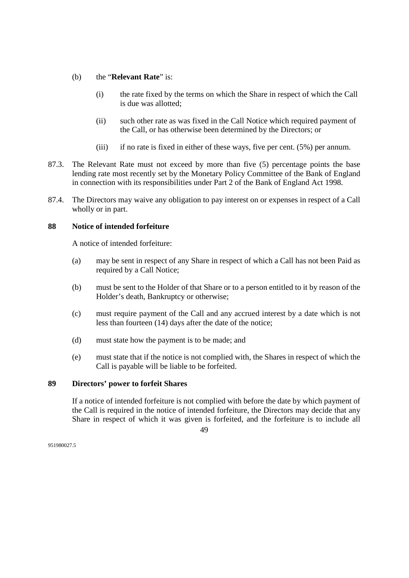### (b) the "**Relevant Rate**" is:

- (i) the rate fixed by the terms on which the Share in respect of which the Call is due was allotted;
- (ii) such other rate as was fixed in the Call Notice which required payment of the Call, or has otherwise been determined by the Directors; or
- (iii) if no rate is fixed in either of these ways, five per cent. (5%) per annum.
- 87.3. The Relevant Rate must not exceed by more than five (5) percentage points the base lending rate most recently set by the Monetary Policy Committee of the Bank of England in connection with its responsibilities under Part 2 of the Bank of England Act 1998.
- 87.4. The Directors may waive any obligation to pay interest on or expenses in respect of a Call wholly or in part.

## **88 Notice of intended forfeiture**

A notice of intended forfeiture:

- (a) may be sent in respect of any Share in respect of which a Call has not been Paid as required by a Call Notice;
- (b) must be sent to the Holder of that Share or to a person entitled to it by reason of the Holder's death, Bankruptcy or otherwise;
- (c) must require payment of the Call and any accrued interest by a date which is not less than fourteen (14) days after the date of the notice;
- (d) must state how the payment is to be made; and
- (e) must state that if the notice is not complied with, the Shares in respect of which the Call is payable will be liable to be forfeited.

#### **89 Directors' power to forfeit Shares**

If a notice of intended forfeiture is not complied with before the date by which payment of the Call is required in the notice of intended forfeiture, the Directors may decide that any Share in respect of which it was given is forfeited, and the forfeiture is to include all

49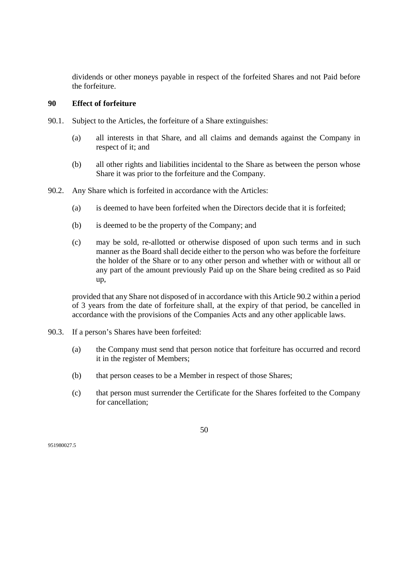dividends or other moneys payable in respect of the forfeited Shares and not Paid before the forfeiture.

## **90 Effect of forfeiture**

- 90.1. Subject to the Articles, the forfeiture of a Share extinguishes:
	- (a) all interests in that Share, and all claims and demands against the Company in respect of it; and
	- (b) all other rights and liabilities incidental to the Share as between the person whose Share it was prior to the forfeiture and the Company.
- 90.2. Any Share which is forfeited in accordance with the Articles:
	- (a) is deemed to have been forfeited when the Directors decide that it is forfeited;
	- (b) is deemed to be the property of the Company; and
	- (c) may be sold, re-allotted or otherwise disposed of upon such terms and in such manner as the Board shall decide either to the person who was before the forfeiture the holder of the Share or to any other person and whether with or without all or any part of the amount previously Paid up on the Share being credited as so Paid up,

provided that any Share not disposed of in accordance with this Article 90.2 within a period of 3 years from the date of forfeiture shall, at the expiry of that period, be cancelled in accordance with the provisions of the Companies Acts and any other applicable laws.

- 90.3. If a person's Shares have been forfeited:
	- (a) the Company must send that person notice that forfeiture has occurred and record it in the register of Members;
	- (b) that person ceases to be a Member in respect of those Shares;
	- (c) that person must surrender the Certificate for the Shares forfeited to the Company for cancellation;

50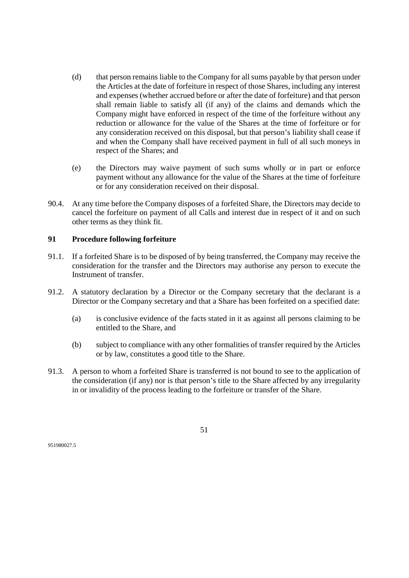- (d) that person remains liable to the Company for all sums payable by that person under the Articles at the date of forfeiture in respect of those Shares, including any interest and expenses (whether accrued before or after the date of forfeiture) and that person shall remain liable to satisfy all (if any) of the claims and demands which the Company might have enforced in respect of the time of the forfeiture without any reduction or allowance for the value of the Shares at the time of forfeiture or for any consideration received on this disposal, but that person's liability shall cease if and when the Company shall have received payment in full of all such moneys in respect of the Shares; and
- (e) the Directors may waive payment of such sums wholly or in part or enforce payment without any allowance for the value of the Shares at the time of forfeiture or for any consideration received on their disposal.
- 90.4. At any time before the Company disposes of a forfeited Share, the Directors may decide to cancel the forfeiture on payment of all Calls and interest due in respect of it and on such other terms as they think fit.

## **91 Procedure following forfeiture**

- 91.1. If a forfeited Share is to be disposed of by being transferred, the Company may receive the consideration for the transfer and the Directors may authorise any person to execute the Instrument of transfer.
- 91.2. A statutory declaration by a Director or the Company secretary that the declarant is a Director or the Company secretary and that a Share has been forfeited on a specified date:
	- (a) is conclusive evidence of the facts stated in it as against all persons claiming to be entitled to the Share, and
	- (b) subject to compliance with any other formalities of transfer required by the Articles or by law, constitutes a good title to the Share.
- 91.3. A person to whom a forfeited Share is transferred is not bound to see to the application of the consideration (if any) nor is that person's title to the Share affected by any irregularity in or invalidity of the process leading to the forfeiture or transfer of the Share.

51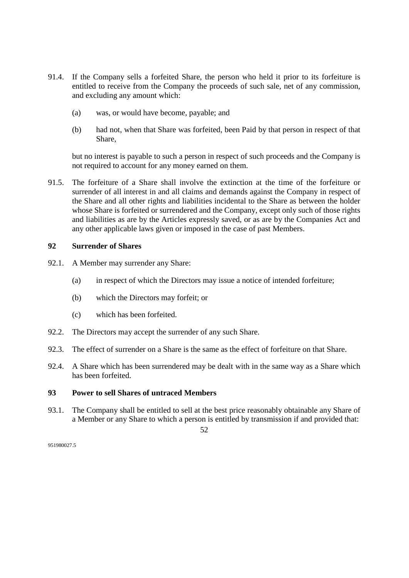- 91.4. If the Company sells a forfeited Share, the person who held it prior to its forfeiture is entitled to receive from the Company the proceeds of such sale, net of any commission, and excluding any amount which:
	- (a) was, or would have become, payable; and
	- (b) had not, when that Share was forfeited, been Paid by that person in respect of that Share,

but no interest is payable to such a person in respect of such proceeds and the Company is not required to account for any money earned on them.

91.5. The forfeiture of a Share shall involve the extinction at the time of the forfeiture or surrender of all interest in and all claims and demands against the Company in respect of the Share and all other rights and liabilities incidental to the Share as between the holder whose Share is forfeited or surrendered and the Company, except only such of those rights and liabilities as are by the Articles expressly saved, or as are by the Companies Act and any other applicable laws given or imposed in the case of past Members.

## **92 Surrender of Shares**

- 92.1. A Member may surrender any Share:
	- (a) in respect of which the Directors may issue a notice of intended forfeiture;
	- (b) which the Directors may forfeit; or
	- (c) which has been forfeited.
- 92.2. The Directors may accept the surrender of any such Share.
- 92.3. The effect of surrender on a Share is the same as the effect of forfeiture on that Share.
- 92.4. A Share which has been surrendered may be dealt with in the same way as a Share which has been forfeited.

#### **93 Power to sell Shares of untraced Members**

93.1. The Company shall be entitled to sell at the best price reasonably obtainable any Share of a Member or any Share to which a person is entitled by transmission if and provided that:

52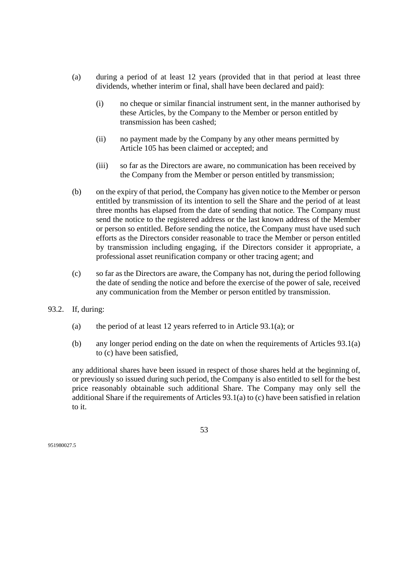- (a) during a period of at least 12 years (provided that in that period at least three dividends, whether interim or final, shall have been declared and paid):
	- (i) no cheque or similar financial instrument sent, in the manner authorised by these Articles, by the Company to the Member or person entitled by transmission has been cashed;
	- (ii) no payment made by the Company by any other means permitted by Article 105 has been claimed or accepted; and
	- (iii) so far as the Directors are aware, no communication has been received by the Company from the Member or person entitled by transmission;
- (b) on the expiry of that period, the Company has given notice to the Member or person entitled by transmission of its intention to sell the Share and the period of at least three months has elapsed from the date of sending that notice. The Company must send the notice to the registered address or the last known address of the Member or person so entitled. Before sending the notice, the Company must have used such efforts as the Directors consider reasonable to trace the Member or person entitled by transmission including engaging, if the Directors consider it appropriate, a professional asset reunification company or other tracing agent; and
- (c) so far as the Directors are aware, the Company has not, during the period following the date of sending the notice and before the exercise of the power of sale, received any communication from the Member or person entitled by transmission.
- 93.2. If, during:
	- (a) the period of at least 12 years referred to in Article 93.1(a); or
	- (b) any longer period ending on the date on when the requirements of Articles 93.1(a) to (c) have been satisfied,

any additional shares have been issued in respect of those shares held at the beginning of, or previously so issued during such period, the Company is also entitled to sell for the best price reasonably obtainable such additional Share. The Company may only sell the additional Share if the requirements of Articles 93.1(a) to (c) have been satisfied in relation to it.

53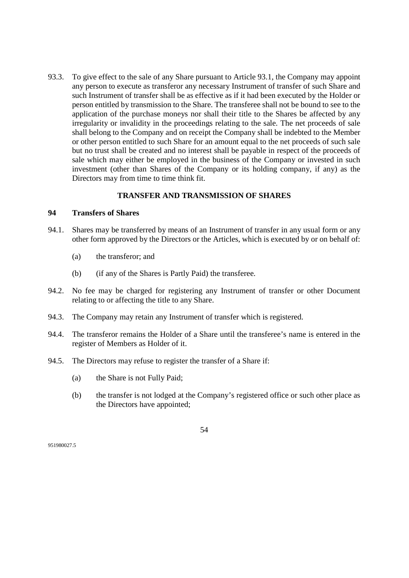93.3. To give effect to the sale of any Share pursuant to Article 93.1, the Company may appoint any person to execute as transferor any necessary Instrument of transfer of such Share and such Instrument of transfer shall be as effective as if it had been executed by the Holder or person entitled by transmission to the Share. The transferee shall not be bound to see to the application of the purchase moneys nor shall their title to the Shares be affected by any irregularity or invalidity in the proceedings relating to the sale. The net proceeds of sale shall belong to the Company and on receipt the Company shall be indebted to the Member or other person entitled to such Share for an amount equal to the net proceeds of such sale but no trust shall be created and no interest shall be payable in respect of the proceeds of sale which may either be employed in the business of the Company or invested in such investment (other than Shares of the Company or its holding company, if any) as the Directors may from time to time think fit.

## **TRANSFER AND TRANSMISSION OF SHARES**

### **94 Transfers of Shares**

- 94.1. Shares may be transferred by means of an Instrument of transfer in any usual form or any other form approved by the Directors or the Articles, which is executed by or on behalf of:
	- (a) the transferor; and
	- (b) (if any of the Shares is Partly Paid) the transferee.
- 94.2. No fee may be charged for registering any Instrument of transfer or other Document relating to or affecting the title to any Share.
- 94.3. The Company may retain any Instrument of transfer which is registered.
- 94.4. The transferor remains the Holder of a Share until the transferee's name is entered in the register of Members as Holder of it.
- 94.5. The Directors may refuse to register the transfer of a Share if:
	- (a) the Share is not Fully Paid;
	- (b) the transfer is not lodged at the Company's registered office or such other place as the Directors have appointed;

54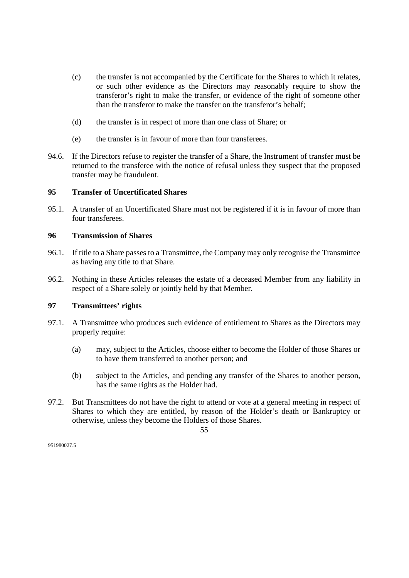- (c) the transfer is not accompanied by the Certificate for the Shares to which it relates, or such other evidence as the Directors may reasonably require to show the transferor's right to make the transfer, or evidence of the right of someone other than the transferor to make the transfer on the transferor's behalf;
- (d) the transfer is in respect of more than one class of Share; or
- (e) the transfer is in favour of more than four transferees.
- 94.6. If the Directors refuse to register the transfer of a Share, the Instrument of transfer must be returned to the transferee with the notice of refusal unless they suspect that the proposed transfer may be fraudulent.

## **95 Transfer of Uncertificated Shares**

95.1. A transfer of an Uncertificated Share must not be registered if it is in favour of more than four transferees.

### **96 Transmission of Shares**

- 96.1. If title to a Share passes to a Transmittee, the Company may only recognise the Transmittee as having any title to that Share.
- 96.2. Nothing in these Articles releases the estate of a deceased Member from any liability in respect of a Share solely or jointly held by that Member.

# **97 Transmittees' rights**

- 97.1. A Transmittee who produces such evidence of entitlement to Shares as the Directors may properly require:
	- (a) may, subject to the Articles, choose either to become the Holder of those Shares or to have them transferred to another person; and
	- (b) subject to the Articles, and pending any transfer of the Shares to another person, has the same rights as the Holder had.
- 97.2. But Transmittees do not have the right to attend or vote at a general meeting in respect of Shares to which they are entitled, by reason of the Holder's death or Bankruptcy or otherwise, unless they become the Holders of those Shares.

55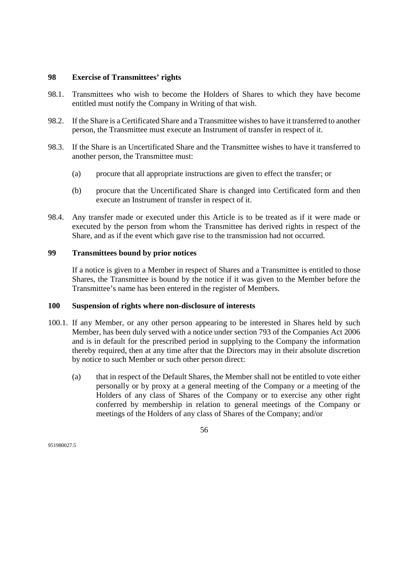### **98 Exercise of Transmittees' rights**

- 98.1. Transmittees who wish to become the Holders of Shares to which they have become entitled must notify the Company in Writing of that wish.
- 98.2. If the Share is a Certificated Share and a Transmittee wishes to have it transferred to another person, the Transmittee must execute an Instrument of transfer in respect of it.
- 98.3. If the Share is an Uncertificated Share and the Transmittee wishes to have it transferred to another person, the Transmittee must:
	- (a) procure that all appropriate instructions are given to effect the transfer; or
	- (b) procure that the Uncertificated Share is changed into Certificated form and then execute an Instrument of transfer in respect of it.
- 98.4. Any transfer made or executed under this Article is to be treated as if it were made or executed by the person from whom the Transmittee has derived rights in respect of the Share, and as if the event which gave rise to the transmission had not occurred.

## **99 Transmittees bound by prior notices**

If a notice is given to a Member in respect of Shares and a Transmittee is entitled to those Shares, the Transmittee is bound by the notice if it was given to the Member before the Transmittee's name has been entered in the register of Members.

## **100 Suspension of rights where non-disclosure of interests**

- 100.1. If any Member, or any other person appearing to be interested in Shares held by such Member, has been duly served with a notice under section 793 of the Companies Act 2006 and is in default for the prescribed period in supplying to the Company the information thereby required, then at any time after that the Directors may in their absolute discretion by notice to such Member or such other person direct:
	- (a) that in respect of the Default Shares, the Member shall not be entitled to vote either personally or by proxy at a general meeting of the Company or a meeting of the Holders of any class of Shares of the Company or to exercise any other right conferred by membership in relation to general meetings of the Company or meetings of the Holders of any class of Shares of the Company; and/or

56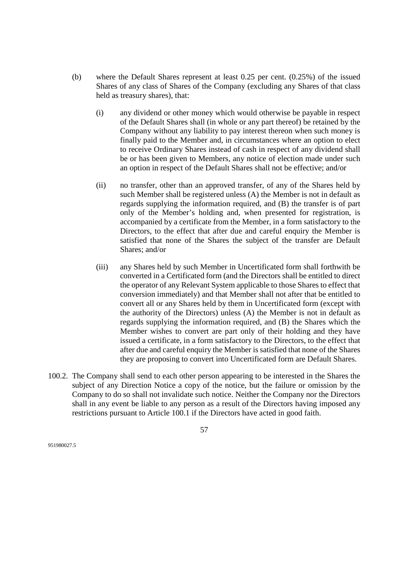- (b) where the Default Shares represent at least 0.25 per cent. (0.25%) of the issued Shares of any class of Shares of the Company (excluding any Shares of that class held as treasury shares), that:
	- (i) any dividend or other money which would otherwise be payable in respect of the Default Shares shall (in whole or any part thereof) be retained by the Company without any liability to pay interest thereon when such money is finally paid to the Member and, in circumstances where an option to elect to receive Ordinary Shares instead of cash in respect of any dividend shall be or has been given to Members, any notice of election made under such an option in respect of the Default Shares shall not be effective; and/or
	- (ii) no transfer, other than an approved transfer, of any of the Shares held by such Member shall be registered unless (A) the Member is not in default as regards supplying the information required, and (B) the transfer is of part only of the Member's holding and, when presented for registration, is accompanied by a certificate from the Member, in a form satisfactory to the Directors, to the effect that after due and careful enquiry the Member is satisfied that none of the Shares the subject of the transfer are Default Shares; and/or
	- (iii) any Shares held by such Member in Uncertificated form shall forthwith be converted in a Certificated form (and the Directors shall be entitled to direct the operator of any Relevant System applicable to those Shares to effect that conversion immediately) and that Member shall not after that be entitled to convert all or any Shares held by them in Uncertificated form (except with the authority of the Directors) unless (A) the Member is not in default as regards supplying the information required, and (B) the Shares which the Member wishes to convert are part only of their holding and they have issued a certificate, in a form satisfactory to the Directors, to the effect that after due and careful enquiry the Member is satisfied that none of the Shares they are proposing to convert into Uncertificated form are Default Shares.
- 100.2. The Company shall send to each other person appearing to be interested in the Shares the subject of any Direction Notice a copy of the notice, but the failure or omission by the Company to do so shall not invalidate such notice. Neither the Company nor the Directors shall in any event be liable to any person as a result of the Directors having imposed any restrictions pursuant to Article 100.1 if the Directors have acted in good faith.

57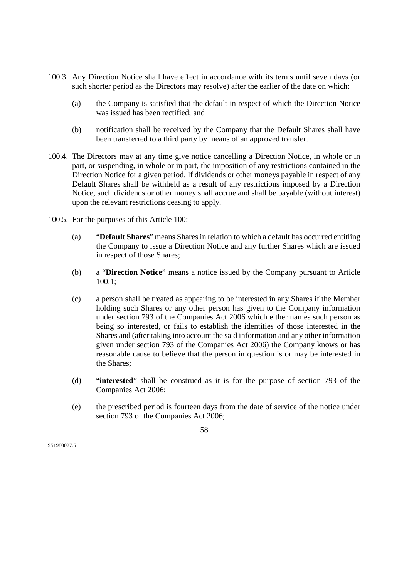- 100.3. Any Direction Notice shall have effect in accordance with its terms until seven days (or such shorter period as the Directors may resolve) after the earlier of the date on which:
	- (a) the Company is satisfied that the default in respect of which the Direction Notice was issued has been rectified; and
	- (b) notification shall be received by the Company that the Default Shares shall have been transferred to a third party by means of an approved transfer.
- 100.4. The Directors may at any time give notice cancelling a Direction Notice, in whole or in part, or suspending, in whole or in part, the imposition of any restrictions contained in the Direction Notice for a given period. If dividends or other moneys payable in respect of any Default Shares shall be withheld as a result of any restrictions imposed by a Direction Notice, such dividends or other money shall accrue and shall be payable (without interest) upon the relevant restrictions ceasing to apply.
- 100.5. For the purposes of this Article 100:
	- (a) "**Default Shares**" means Shares in relation to which a default has occurred entitling the Company to issue a Direction Notice and any further Shares which are issued in respect of those Shares;
	- (b) a "**Direction Notice**" means a notice issued by the Company pursuant to Article 100.1;
	- (c) a person shall be treated as appearing to be interested in any Shares if the Member holding such Shares or any other person has given to the Company information under section 793 of the Companies Act 2006 which either names such person as being so interested, or fails to establish the identities of those interested in the Shares and (after taking into account the said information and any other information given under section 793 of the Companies Act 2006) the Company knows or has reasonable cause to believe that the person in question is or may be interested in the Shares;
	- (d) "**interested**" shall be construed as it is for the purpose of section 793 of the Companies Act 2006;
	- (e) the prescribed period is fourteen days from the date of service of the notice under section 793 of the Companies Act 2006;

58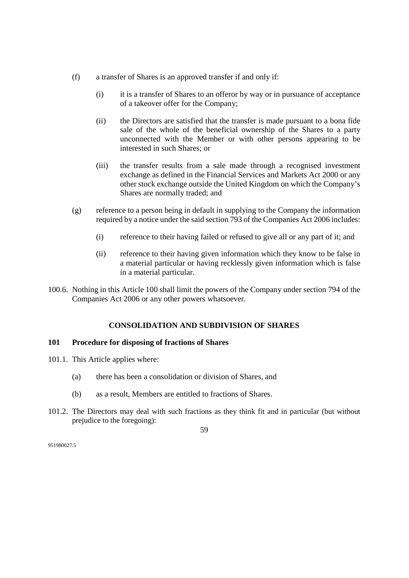- (f) a transfer of Shares is an approved transfer if and only if:
	- (i) it is a transfer of Shares to an offeror by way or in pursuance of acceptance of a takeover offer for the Company;
	- (ii) the Directors are satisfied that the transfer is made pursuant to a bona fide sale of the whole of the beneficial ownership of the Shares to a party unconnected with the Member or with other persons appearing to be interested in such Shares; or
	- (iii) the transfer results from a sale made through a recognised investment exchange as defined in the Financial Services and Markets Act 2000 or any other stock exchange outside the United Kingdom on which the Company's Shares are normally traded; and
- (g) reference to a person being in default in supplying to the Company the information required by a notice under the said section 793 of the Companies Act 2006 includes:
	- (i) reference to their having failed or refused to give all or any part of it; and
	- (ii) reference to their having given information which they know to be false in a material particular or having recklessly given information which is false in a material particular.
- 100.6. Nothing in this Article 100 shall limit the powers of the Company under section 794 of the Companies Act 2006 or any other powers whatsoever.

# **CONSOLIDATION AND SUBDIVISION OF SHARES**

# **101 Procedure for disposing of fractions of Shares**

- 101.1. This Article applies where:
	- (a) there has been a consolidation or division of Shares, and
	- (b) as a result, Members are entitled to fractions of Shares.
- 101.2. The Directors may deal with such fractions as they think fit and in particular (but without prejudice to the foregoing):

59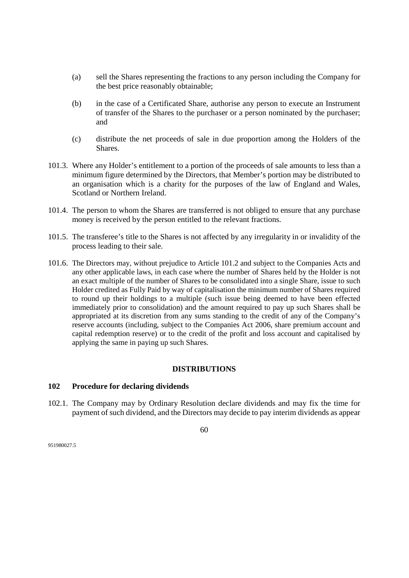- (a) sell the Shares representing the fractions to any person including the Company for the best price reasonably obtainable;
- (b) in the case of a Certificated Share, authorise any person to execute an Instrument of transfer of the Shares to the purchaser or a person nominated by the purchaser; and
- (c) distribute the net proceeds of sale in due proportion among the Holders of the Shares.
- 101.3. Where any Holder's entitlement to a portion of the proceeds of sale amounts to less than a minimum figure determined by the Directors, that Member's portion may be distributed to an organisation which is a charity for the purposes of the law of England and Wales, Scotland or Northern Ireland.
- 101.4. The person to whom the Shares are transferred is not obliged to ensure that any purchase money is received by the person entitled to the relevant fractions.
- 101.5. The transferee's title to the Shares is not affected by any irregularity in or invalidity of the process leading to their sale.
- 101.6. The Directors may, without prejudice to Article 101.2 and subject to the Companies Acts and any other applicable laws, in each case where the number of Shares held by the Holder is not an exact multiple of the number of Shares to be consolidated into a single Share, issue to such Holder credited as Fully Paid by way of capitalisation the minimum number of Shares required to round up their holdings to a multiple (such issue being deemed to have been effected immediately prior to consolidation) and the amount required to pay up such Shares shall be appropriated at its discretion from any sums standing to the credit of any of the Company's reserve accounts (including, subject to the Companies Act 2006, share premium account and capital redemption reserve) or to the credit of the profit and loss account and capitalised by applying the same in paying up such Shares.

# **DISTRIBUTIONS**

# **102 Procedure for declaring dividends**

102.1. The Company may by Ordinary Resolution declare dividends and may fix the time for payment of such dividend, and the Directors may decide to pay interim dividends as appear

60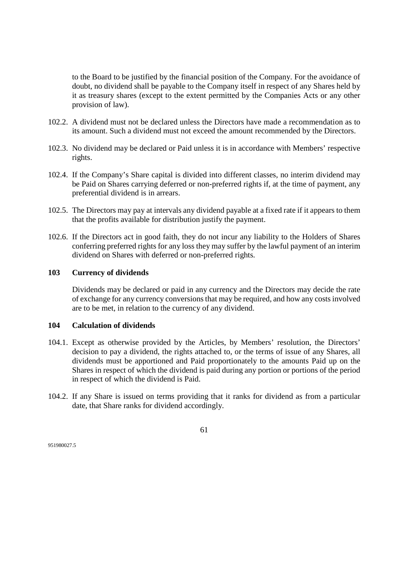to the Board to be justified by the financial position of the Company. For the avoidance of doubt, no dividend shall be payable to the Company itself in respect of any Shares held by it as treasury shares (except to the extent permitted by the Companies Acts or any other provision of law).

- 102.2. A dividend must not be declared unless the Directors have made a recommendation as to its amount. Such a dividend must not exceed the amount recommended by the Directors.
- 102.3. No dividend may be declared or Paid unless it is in accordance with Members' respective rights.
- 102.4. If the Company's Share capital is divided into different classes, no interim dividend may be Paid on Shares carrying deferred or non-preferred rights if, at the time of payment, any preferential dividend is in arrears.
- 102.5. The Directors may pay at intervals any dividend payable at a fixed rate if it appears to them that the profits available for distribution justify the payment.
- 102.6. If the Directors act in good faith, they do not incur any liability to the Holders of Shares conferring preferred rights for any loss they may suffer by the lawful payment of an interim dividend on Shares with deferred or non-preferred rights.

### **103 Currency of dividends**

Dividends may be declared or paid in any currency and the Directors may decide the rate of exchange for any currency conversions that may be required, and how any costs involved are to be met, in relation to the currency of any dividend.

#### **104 Calculation of dividends**

- 104.1. Except as otherwise provided by the Articles, by Members' resolution, the Directors' decision to pay a dividend, the rights attached to, or the terms of issue of any Shares, all dividends must be apportioned and Paid proportionately to the amounts Paid up on the Shares in respect of which the dividend is paid during any portion or portions of the period in respect of which the dividend is Paid.
- 104.2. If any Share is issued on terms providing that it ranks for dividend as from a particular date, that Share ranks for dividend accordingly.

61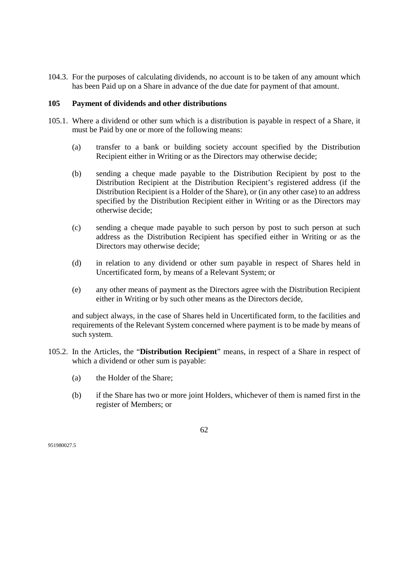104.3. For the purposes of calculating dividends, no account is to be taken of any amount which has been Paid up on a Share in advance of the due date for payment of that amount.

### **105 Payment of dividends and other distributions**

- 105.1. Where a dividend or other sum which is a distribution is payable in respect of a Share, it must be Paid by one or more of the following means:
	- (a) transfer to a bank or building society account specified by the Distribution Recipient either in Writing or as the Directors may otherwise decide;
	- (b) sending a cheque made payable to the Distribution Recipient by post to the Distribution Recipient at the Distribution Recipient's registered address (if the Distribution Recipient is a Holder of the Share), or (in any other case) to an address specified by the Distribution Recipient either in Writing or as the Directors may otherwise decide;
	- (c) sending a cheque made payable to such person by post to such person at such address as the Distribution Recipient has specified either in Writing or as the Directors may otherwise decide;
	- (d) in relation to any dividend or other sum payable in respect of Shares held in Uncertificated form, by means of a Relevant System; or
	- (e) any other means of payment as the Directors agree with the Distribution Recipient either in Writing or by such other means as the Directors decide,

and subject always, in the case of Shares held in Uncertificated form, to the facilities and requirements of the Relevant System concerned where payment is to be made by means of such system.

- 105.2. In the Articles, the "**Distribution Recipient**" means, in respect of a Share in respect of which a dividend or other sum is payable:
	- (a) the Holder of the Share;
	- (b) if the Share has two or more joint Holders, whichever of them is named first in the register of Members; or

62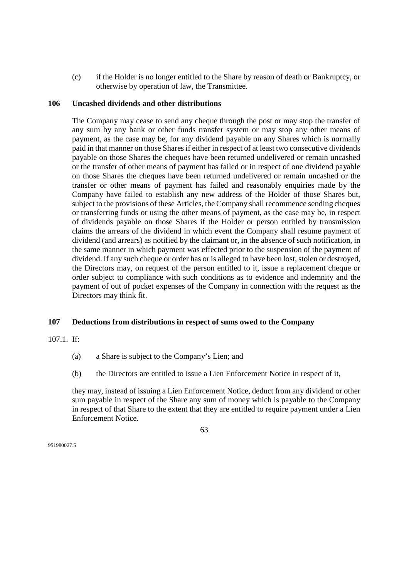(c) if the Holder is no longer entitled to the Share by reason of death or Bankruptcy, or otherwise by operation of law, the Transmittee.

#### **106 Uncashed dividends and other distributions**

The Company may cease to send any cheque through the post or may stop the transfer of any sum by any bank or other funds transfer system or may stop any other means of payment, as the case may be, for any dividend payable on any Shares which is normally paid in that manner on those Shares if either in respect of at least two consecutive dividends payable on those Shares the cheques have been returned undelivered or remain uncashed or the transfer of other means of payment has failed or in respect of one dividend payable on those Shares the cheques have been returned undelivered or remain uncashed or the transfer or other means of payment has failed and reasonably enquiries made by the Company have failed to establish any new address of the Holder of those Shares but, subject to the provisions of these Articles, the Company shall recommence sending cheques or transferring funds or using the other means of payment, as the case may be, in respect of dividends payable on those Shares if the Holder or person entitled by transmission claims the arrears of the dividend in which event the Company shall resume payment of dividend (and arrears) as notified by the claimant or, in the absence of such notification, in the same manner in which payment was effected prior to the suspension of the payment of dividend. If any such cheque or order has or is alleged to have been lost, stolen or destroyed, the Directors may, on request of the person entitled to it, issue a replacement cheque or order subject to compliance with such conditions as to evidence and indemnity and the payment of out of pocket expenses of the Company in connection with the request as the Directors may think fit.

# **107 Deductions from distributions in respect of sums owed to the Company**

107.1. If:

- (a) a Share is subject to the Company's Lien; and
- (b) the Directors are entitled to issue a Lien Enforcement Notice in respect of it,

they may, instead of issuing a Lien Enforcement Notice, deduct from any dividend or other sum payable in respect of the Share any sum of money which is payable to the Company in respect of that Share to the extent that they are entitled to require payment under a Lien Enforcement Notice.

63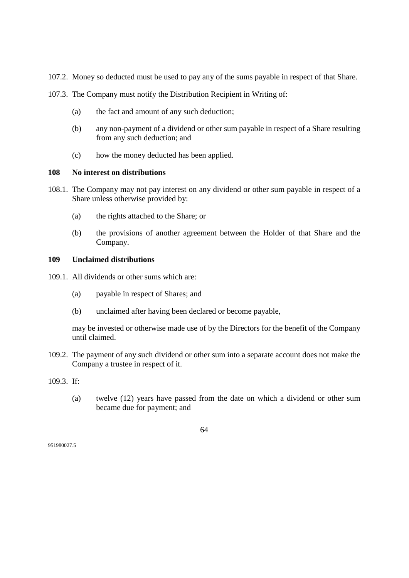107.2. Money so deducted must be used to pay any of the sums payable in respect of that Share.

- 107.3. The Company must notify the Distribution Recipient in Writing of:
	- (a) the fact and amount of any such deduction;
	- (b) any non-payment of a dividend or other sum payable in respect of a Share resulting from any such deduction; and
	- (c) how the money deducted has been applied.

# **108 No interest on distributions**

- 108.1. The Company may not pay interest on any dividend or other sum payable in respect of a Share unless otherwise provided by:
	- (a) the rights attached to the Share; or
	- (b) the provisions of another agreement between the Holder of that Share and the Company.

# **109 Unclaimed distributions**

- 109.1. All dividends or other sums which are:
	- (a) payable in respect of Shares; and
	- (b) unclaimed after having been declared or become payable,

may be invested or otherwise made use of by the Directors for the benefit of the Company until claimed.

- 109.2. The payment of any such dividend or other sum into a separate account does not make the Company a trustee in respect of it.
- $109.3$  If:
	- (a) twelve (12) years have passed from the date on which a dividend or other sum became due for payment; and

64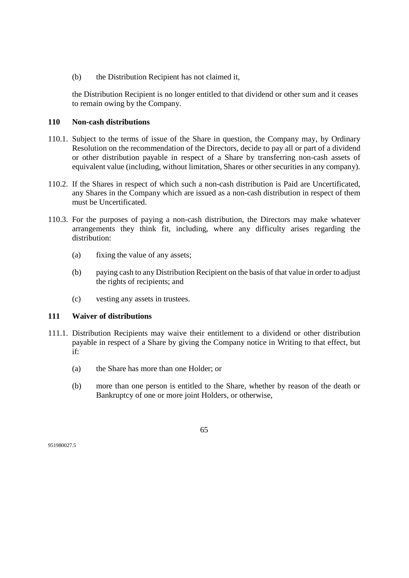(b) the Distribution Recipient has not claimed it,

the Distribution Recipient is no longer entitled to that dividend or other sum and it ceases to remain owing by the Company.

### **110 Non-cash distributions**

- 110.1. Subject to the terms of issue of the Share in question, the Company may, by Ordinary Resolution on the recommendation of the Directors, decide to pay all or part of a dividend or other distribution payable in respect of a Share by transferring non-cash assets of equivalent value (including, without limitation, Shares or other securities in any company).
- 110.2. If the Shares in respect of which such a non-cash distribution is Paid are Uncertificated, any Shares in the Company which are issued as a non-cash distribution in respect of them must be Uncertificated.
- 110.3. For the purposes of paying a non-cash distribution, the Directors may make whatever arrangements they think fit, including, where any difficulty arises regarding the distribution:
	- (a) fixing the value of any assets;
	- (b) paying cash to any Distribution Recipient on the basis of that value in order to adjust the rights of recipients; and
	- (c) vesting any assets in trustees.

#### **111 Waiver of distributions**

- 111.1. Distribution Recipients may waive their entitlement to a dividend or other distribution payable in respect of a Share by giving the Company notice in Writing to that effect, but if:
	- (a) the Share has more than one Holder; or
	- (b) more than one person is entitled to the Share, whether by reason of the death or Bankruptcy of one or more joint Holders, or otherwise,

65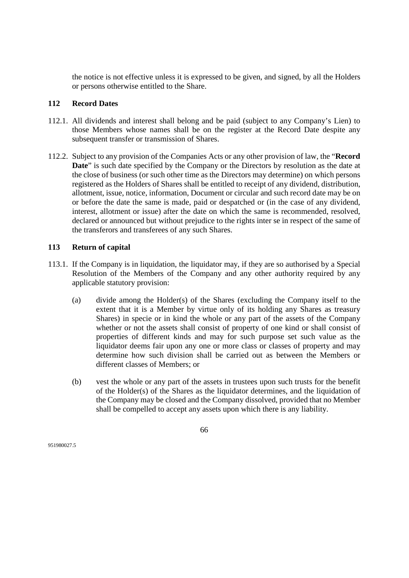the notice is not effective unless it is expressed to be given, and signed, by all the Holders or persons otherwise entitled to the Share.

# **112 Record Dates**

- 112.1. All dividends and interest shall belong and be paid (subject to any Company's Lien) to those Members whose names shall be on the register at the Record Date despite any subsequent transfer or transmission of Shares.
- 112.2. Subject to any provision of the Companies Acts or any other provision of law, the "**Record Date**" is such date specified by the Company or the Directors by resolution as the date at the close of business (or such other time as the Directors may determine) on which persons registered as the Holders of Shares shall be entitled to receipt of any dividend, distribution, allotment, issue, notice, information, Document or circular and such record date may be on or before the date the same is made, paid or despatched or (in the case of any dividend, interest, allotment or issue) after the date on which the same is recommended, resolved, declared or announced but without prejudice to the rights inter se in respect of the same of the transferors and transferees of any such Shares.

# **113 Return of capital**

- 113.1. If the Company is in liquidation, the liquidator may, if they are so authorised by a Special Resolution of the Members of the Company and any other authority required by any applicable statutory provision:
	- (a) divide among the Holder(s) of the Shares (excluding the Company itself to the extent that it is a Member by virtue only of its holding any Shares as treasury Shares) in specie or in kind the whole or any part of the assets of the Company whether or not the assets shall consist of property of one kind or shall consist of properties of different kinds and may for such purpose set such value as the liquidator deems fair upon any one or more class or classes of property and may determine how such division shall be carried out as between the Members or different classes of Members; or
	- (b) vest the whole or any part of the assets in trustees upon such trusts for the benefit of the Holder(s) of the Shares as the liquidator determines, and the liquidation of the Company may be closed and the Company dissolved, provided that no Member shall be compelled to accept any assets upon which there is any liability.

66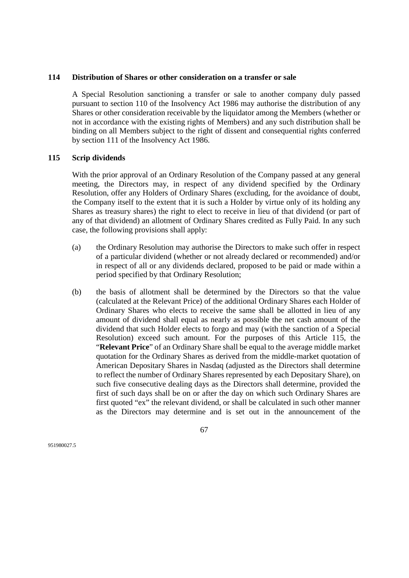### **114 Distribution of Shares or other consideration on a transfer or sale**

A Special Resolution sanctioning a transfer or sale to another company duly passed pursuant to section 110 of the Insolvency Act 1986 may authorise the distribution of any Shares or other consideration receivable by the liquidator among the Members (whether or not in accordance with the existing rights of Members) and any such distribution shall be binding on all Members subject to the right of dissent and consequential rights conferred by section 111 of the Insolvency Act 1986.

### **115 Scrip dividends**

With the prior approval of an Ordinary Resolution of the Company passed at any general meeting, the Directors may, in respect of any dividend specified by the Ordinary Resolution, offer any Holders of Ordinary Shares (excluding, for the avoidance of doubt, the Company itself to the extent that it is such a Holder by virtue only of its holding any Shares as treasury shares) the right to elect to receive in lieu of that dividend (or part of any of that dividend) an allotment of Ordinary Shares credited as Fully Paid. In any such case, the following provisions shall apply:

- (a) the Ordinary Resolution may authorise the Directors to make such offer in respect of a particular dividend (whether or not already declared or recommended) and/or in respect of all or any dividends declared, proposed to be paid or made within a period specified by that Ordinary Resolution;
- (b) the basis of allotment shall be determined by the Directors so that the value (calculated at the Relevant Price) of the additional Ordinary Shares each Holder of Ordinary Shares who elects to receive the same shall be allotted in lieu of any amount of dividend shall equal as nearly as possible the net cash amount of the dividend that such Holder elects to forgo and may (with the sanction of a Special Resolution) exceed such amount. For the purposes of this Article 115, the "**Relevant Price**" of an Ordinary Share shall be equal to the average middle market quotation for the Ordinary Shares as derived from the middle-market quotation of American Depositary Shares in Nasdaq (adjusted as the Directors shall determine to reflect the number of Ordinary Shares represented by each Depositary Share), on such five consecutive dealing days as the Directors shall determine, provided the first of such days shall be on or after the day on which such Ordinary Shares are first quoted "ex" the relevant dividend, or shall be calculated in such other manner as the Directors may determine and is set out in the announcement of the

67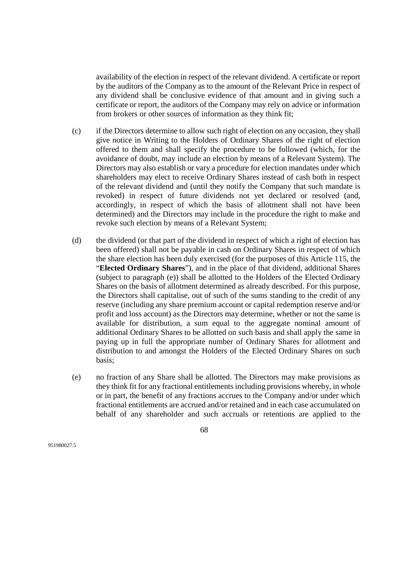availability of the election in respect of the relevant dividend. A certificate or report by the auditors of the Company as to the amount of the Relevant Price in respect of any dividend shall be conclusive evidence of that amount and in giving such a certificate or report, the auditors of the Company may rely on advice or information from brokers or other sources of information as they think fit;

- (c) if the Directors determine to allow such right of election on any occasion, they shall give notice in Writing to the Holders of Ordinary Shares of the right of election offered to them and shall specify the procedure to be followed (which, for the avoidance of doubt, may include an election by means of a Relevant System). The Directors may also establish or vary a procedure for election mandates under which shareholders may elect to receive Ordinary Shares instead of cash both in respect of the relevant dividend and (until they notify the Company that such mandate is revoked) in respect of future dividends not yet declared or resolved (and, accordingly, in respect of which the basis of allotment shall not have been determined) and the Directors may include in the procedure the right to make and revoke such election by means of a Relevant System;
- (d) the dividend (or that part of the dividend in respect of which a right of election has been offered) shall not be payable in cash on Ordinary Shares in respect of which the share election has been duly exercised (for the purposes of this Article 115, the "**Elected Ordinary Shares**"), and in the place of that dividend, additional Shares (subject to paragraph (e)) shall be allotted to the Holders of the Elected Ordinary Shares on the basis of allotment determined as already described. For this purpose, the Directors shall capitalise, out of such of the sums standing to the credit of any reserve (including any share premium account or capital redemption reserve and/or profit and loss account) as the Directors may determine, whether or not the same is available for distribution, a sum equal to the aggregate nominal amount of additional Ordinary Shares to be allotted on such basis and shall apply the same in paying up in full the appropriate number of Ordinary Shares for allotment and distribution to and amongst the Holders of the Elected Ordinary Shares on such basis;
- (e) no fraction of any Share shall be allotted. The Directors may make provisions as they think fit for any fractional entitlements including provisions whereby, in whole or in part, the benefit of any fractions accrues to the Company and/or under which fractional entitlements are accrued and/or retained and in each case accumulated on behalf of any shareholder and such accruals or retentions are applied to the

68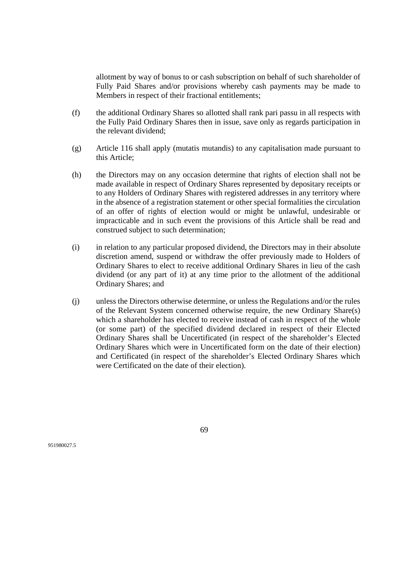allotment by way of bonus to or cash subscription on behalf of such shareholder of Fully Paid Shares and/or provisions whereby cash payments may be made to Members in respect of their fractional entitlements;

- (f) the additional Ordinary Shares so allotted shall rank pari passu in all respects with the Fully Paid Ordinary Shares then in issue, save only as regards participation in the relevant dividend;
- (g) Article 116 shall apply (mutatis mutandis) to any capitalisation made pursuant to this Article;
- (h) the Directors may on any occasion determine that rights of election shall not be made available in respect of Ordinary Shares represented by depositary receipts or to any Holders of Ordinary Shares with registered addresses in any territory where in the absence of a registration statement or other special formalities the circulation of an offer of rights of election would or might be unlawful, undesirable or impracticable and in such event the provisions of this Article shall be read and construed subject to such determination;
- (i) in relation to any particular proposed dividend, the Directors may in their absolute discretion amend, suspend or withdraw the offer previously made to Holders of Ordinary Shares to elect to receive additional Ordinary Shares in lieu of the cash dividend (or any part of it) at any time prior to the allotment of the additional Ordinary Shares; and
- (j) unless the Directors otherwise determine, or unless the Regulations and/or the rules of the Relevant System concerned otherwise require, the new Ordinary Share(s) which a shareholder has elected to receive instead of cash in respect of the whole (or some part) of the specified dividend declared in respect of their Elected Ordinary Shares shall be Uncertificated (in respect of the shareholder's Elected Ordinary Shares which were in Uncertificated form on the date of their election) and Certificated (in respect of the shareholder's Elected Ordinary Shares which were Certificated on the date of their election).

69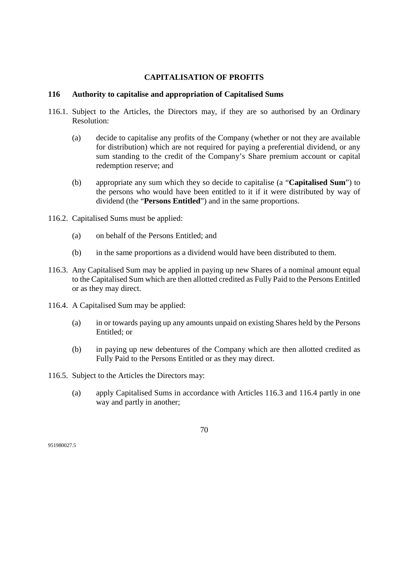# **CAPITALISATION OF PROFITS**

### **116 Authority to capitalise and appropriation of Capitalised Sums**

- 116.1. Subject to the Articles, the Directors may, if they are so authorised by an Ordinary Resolution:
	- (a) decide to capitalise any profits of the Company (whether or not they are available for distribution) which are not required for paying a preferential dividend, or any sum standing to the credit of the Company's Share premium account or capital redemption reserve; and
	- (b) appropriate any sum which they so decide to capitalise (a "**Capitalised Sum**") to the persons who would have been entitled to it if it were distributed by way of dividend (the "**Persons Entitled**") and in the same proportions.
- 116.2. Capitalised Sums must be applied:
	- (a) on behalf of the Persons Entitled; and
	- (b) in the same proportions as a dividend would have been distributed to them.
- 116.3. Any Capitalised Sum may be applied in paying up new Shares of a nominal amount equal to the Capitalised Sum which are then allotted credited as Fully Paid to the Persons Entitled or as they may direct.
- 116.4. A Capitalised Sum may be applied:
	- (a) in or towards paying up any amounts unpaid on existing Shares held by the Persons Entitled; or
	- (b) in paying up new debentures of the Company which are then allotted credited as Fully Paid to the Persons Entitled or as they may direct.
- 116.5. Subject to the Articles the Directors may:
	- (a) apply Capitalised Sums in accordance with Articles 116.3 and 116.4 partly in one way and partly in another;

70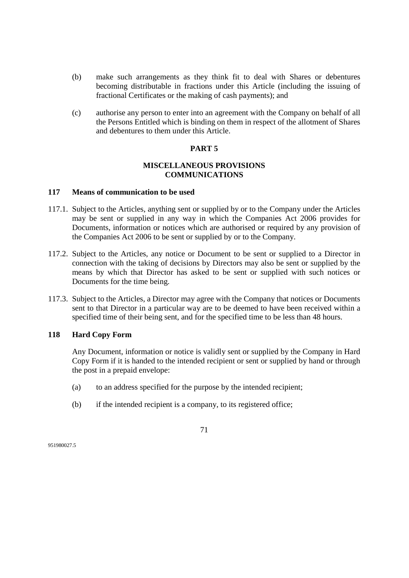- (b) make such arrangements as they think fit to deal with Shares or debentures becoming distributable in fractions under this Article (including the issuing of fractional Certificates or the making of cash payments); and
- (c) authorise any person to enter into an agreement with the Company on behalf of all the Persons Entitled which is binding on them in respect of the allotment of Shares and debentures to them under this Article.

# **PART 5**

# **MISCELLANEOUS PROVISIONS COMMUNICATIONS**

# **117 Means of communication to be used**

- 117.1. Subject to the Articles, anything sent or supplied by or to the Company under the Articles may be sent or supplied in any way in which the Companies Act 2006 provides for Documents, information or notices which are authorised or required by any provision of the Companies Act 2006 to be sent or supplied by or to the Company.
- 117.2. Subject to the Articles, any notice or Document to be sent or supplied to a Director in connection with the taking of decisions by Directors may also be sent or supplied by the means by which that Director has asked to be sent or supplied with such notices or Documents for the time being.
- 117.3. Subject to the Articles, a Director may agree with the Company that notices or Documents sent to that Director in a particular way are to be deemed to have been received within a specified time of their being sent, and for the specified time to be less than 48 hours.

# **118 Hard Copy Form**

Any Document, information or notice is validly sent or supplied by the Company in Hard Copy Form if it is handed to the intended recipient or sent or supplied by hand or through the post in a prepaid envelope:

- (a) to an address specified for the purpose by the intended recipient;
- (b) if the intended recipient is a company, to its registered office;

71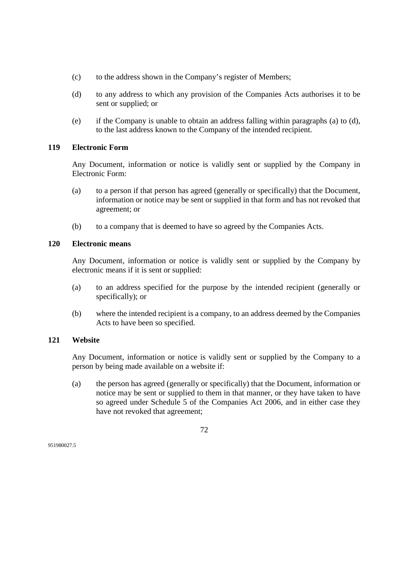- (c) to the address shown in the Company's register of Members;
- (d) to any address to which any provision of the Companies Acts authorises it to be sent or supplied; or
- (e) if the Company is unable to obtain an address falling within paragraphs (a) to (d), to the last address known to the Company of the intended recipient.

# **119 Electronic Form**

Any Document, information or notice is validly sent or supplied by the Company in Electronic Form:

- (a) to a person if that person has agreed (generally or specifically) that the Document, information or notice may be sent or supplied in that form and has not revoked that agreement; or
- (b) to a company that is deemed to have so agreed by the Companies Acts.

# **120 Electronic means**

Any Document, information or notice is validly sent or supplied by the Company by electronic means if it is sent or supplied:

- (a) to an address specified for the purpose by the intended recipient (generally or specifically); or
- (b) where the intended recipient is a company, to an address deemed by the Companies Acts to have been so specified.

### **121 Website**

Any Document, information or notice is validly sent or supplied by the Company to a person by being made available on a website if:

(a) the person has agreed (generally or specifically) that the Document, information or notice may be sent or supplied to them in that manner, or they have taken to have so agreed under Schedule 5 of the Companies Act 2006, and in either case they have not revoked that agreement;

72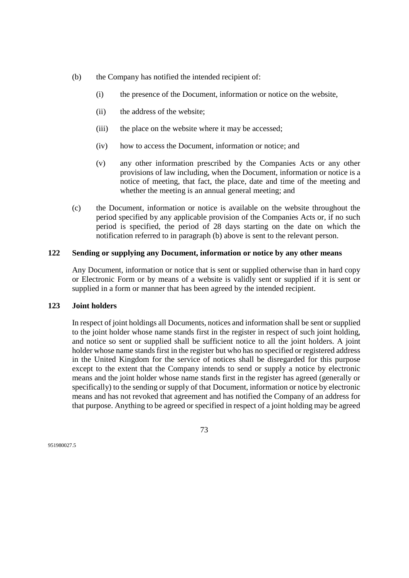- (b) the Company has notified the intended recipient of:
	- (i) the presence of the Document, information or notice on the website,
	- (ii) the address of the website;
	- (iii) the place on the website where it may be accessed;
	- (iv) how to access the Document, information or notice; and
	- (v) any other information prescribed by the Companies Acts or any other provisions of law including, when the Document, information or notice is a notice of meeting, that fact, the place, date and time of the meeting and whether the meeting is an annual general meeting; and
- (c) the Document, information or notice is available on the website throughout the period specified by any applicable provision of the Companies Acts or, if no such period is specified, the period of 28 days starting on the date on which the notification referred to in paragraph (b) above is sent to the relevant person.

# **122 Sending or supplying any Document, information or notice by any other means**

Any Document, information or notice that is sent or supplied otherwise than in hard copy or Electronic Form or by means of a website is validly sent or supplied if it is sent or supplied in a form or manner that has been agreed by the intended recipient.

# **123 Joint holders**

In respect of joint holdings all Documents, notices and information shall be sent or supplied to the joint holder whose name stands first in the register in respect of such joint holding, and notice so sent or supplied shall be sufficient notice to all the joint holders. A joint holder whose name stands first in the register but who has no specified or registered address in the United Kingdom for the service of notices shall be disregarded for this purpose except to the extent that the Company intends to send or supply a notice by electronic means and the joint holder whose name stands first in the register has agreed (generally or specifically) to the sending or supply of that Document, information or notice by electronic means and has not revoked that agreement and has notified the Company of an address for that purpose. Anything to be agreed or specified in respect of a joint holding may be agreed

73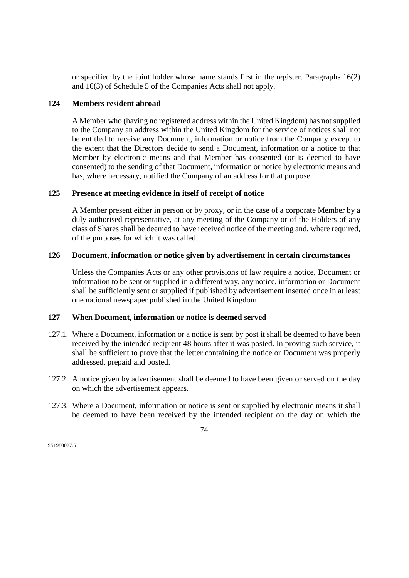or specified by the joint holder whose name stands first in the register. Paragraphs 16(2) and 16(3) of Schedule 5 of the Companies Acts shall not apply.

# **124 Members resident abroad**

A Member who (having no registered address within the United Kingdom) has not supplied to the Company an address within the United Kingdom for the service of notices shall not be entitled to receive any Document, information or notice from the Company except to the extent that the Directors decide to send a Document, information or a notice to that Member by electronic means and that Member has consented (or is deemed to have consented) to the sending of that Document, information or notice by electronic means and has, where necessary, notified the Company of an address for that purpose.

# **125 Presence at meeting evidence in itself of receipt of notice**

A Member present either in person or by proxy, or in the case of a corporate Member by a duly authorised representative, at any meeting of the Company or of the Holders of any class of Shares shall be deemed to have received notice of the meeting and, where required, of the purposes for which it was called.

# **126 Document, information or notice given by advertisement in certain circumstances**

Unless the Companies Acts or any other provisions of law require a notice, Document or information to be sent or supplied in a different way, any notice, information or Document shall be sufficiently sent or supplied if published by advertisement inserted once in at least one national newspaper published in the United Kingdom.

### **127 When Document, information or notice is deemed served**

- 127.1. Where a Document, information or a notice is sent by post it shall be deemed to have been received by the intended recipient 48 hours after it was posted. In proving such service, it shall be sufficient to prove that the letter containing the notice or Document was properly addressed, prepaid and posted.
- 127.2. A notice given by advertisement shall be deemed to have been given or served on the day on which the advertisement appears.
- 127.3. Where a Document, information or notice is sent or supplied by electronic means it shall be deemed to have been received by the intended recipient on the day on which the

74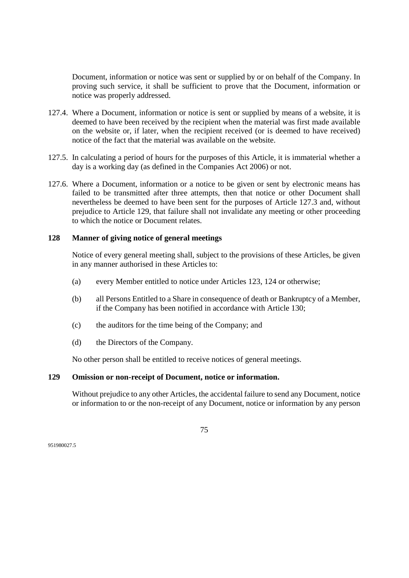Document, information or notice was sent or supplied by or on behalf of the Company. In proving such service, it shall be sufficient to prove that the Document, information or notice was properly addressed.

- 127.4. Where a Document, information or notice is sent or supplied by means of a website, it is deemed to have been received by the recipient when the material was first made available on the website or, if later, when the recipient received (or is deemed to have received) notice of the fact that the material was available on the website.
- 127.5. In calculating a period of hours for the purposes of this Article, it is immaterial whether a day is a working day (as defined in the Companies Act 2006) or not.
- 127.6. Where a Document, information or a notice to be given or sent by electronic means has failed to be transmitted after three attempts, then that notice or other Document shall nevertheless be deemed to have been sent for the purposes of Article 127.3 and, without prejudice to Article 129, that failure shall not invalidate any meeting or other proceeding to which the notice or Document relates.

# **128 Manner of giving notice of general meetings**

Notice of every general meeting shall, subject to the provisions of these Articles, be given in any manner authorised in these Articles to:

- (a) every Member entitled to notice under Articles 123, 124 or otherwise;
- (b) all Persons Entitled to a Share in consequence of death or Bankruptcy of a Member, if the Company has been notified in accordance with Article 130;
- (c) the auditors for the time being of the Company; and
- (d) the Directors of the Company.

No other person shall be entitled to receive notices of general meetings.

# **129 Omission or non-receipt of Document, notice or information.**

Without prejudice to any other Articles, the accidental failure to send any Document, notice or information to or the non-receipt of any Document, notice or information by any person

75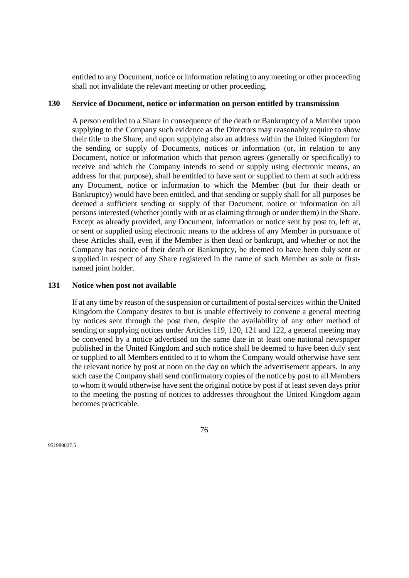entitled to any Document, notice or information relating to any meeting or other proceeding shall not invalidate the relevant meeting or other proceeding.

# **130 Service of Document, notice or information on person entitled by transmission**

A person entitled to a Share in consequence of the death or Bankruptcy of a Member upon supplying to the Company such evidence as the Directors may reasonably require to show their title to the Share, and upon supplying also an address within the United Kingdom for the sending or supply of Documents, notices or information (or, in relation to any Document, notice or information which that person agrees (generally or specifically) to receive and which the Company intends to send or supply using electronic means, an address for that purpose), shall be entitled to have sent or supplied to them at such address any Document, notice or information to which the Member (but for their death or Bankruptcy) would have been entitled, and that sending or supply shall for all purposes be deemed a sufficient sending or supply of that Document, notice or information on all persons interested (whether jointly with or as claiming through or under them) in the Share. Except as already provided, any Document, information or notice sent by post to, left at, or sent or supplied using electronic means to the address of any Member in pursuance of these Articles shall, even if the Member is then dead or bankrupt, and whether or not the Company has notice of their death or Bankruptcy, be deemed to have been duly sent or supplied in respect of any Share registered in the name of such Member as sole or firstnamed joint holder.

### **131 Notice when post not available**

If at any time by reason of the suspension or curtailment of postal services within the United Kingdom the Company desires to but is unable effectively to convene a general meeting by notices sent through the post then, despite the availability of any other method of sending or supplying notices under Articles 119, 120, 121 and 122, a general meeting may be convened by a notice advertised on the same date in at least one national newspaper published in the United Kingdom and such notice shall be deemed to have been duly sent or supplied to all Members entitled to it to whom the Company would otherwise have sent the relevant notice by post at noon on the day on which the advertisement appears. In any such case the Company shall send confirmatory copies of the notice by post to all Members to whom it would otherwise have sent the original notice by post if at least seven days prior to the meeting the posting of notices to addresses throughout the United Kingdom again becomes practicable.

76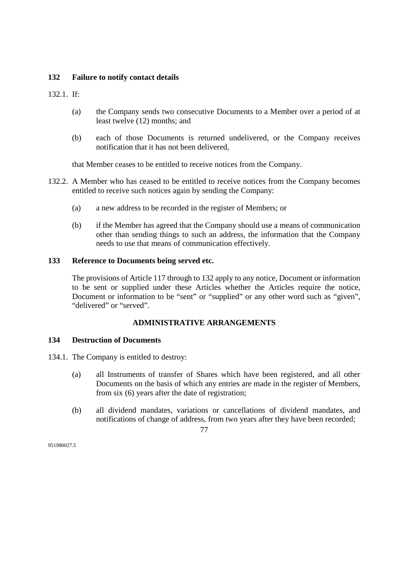# **132 Failure to notify contact details**

132.1. If:

- (a) the Company sends two consecutive Documents to a Member over a period of at least twelve (12) months; and
- (b) each of those Documents is returned undelivered, or the Company receives notification that it has not been delivered,

that Member ceases to be entitled to receive notices from the Company.

- 132.2. A Member who has ceased to be entitled to receive notices from the Company becomes entitled to receive such notices again by sending the Company:
	- (a) a new address to be recorded in the register of Members; or
	- (b) if the Member has agreed that the Company should use a means of communication other than sending things to such an address, the information that the Company needs to use that means of communication effectively.

# **133 Reference to Documents being served etc.**

The provisions of Article 117 through to 132 apply to any notice, Document or information to be sent or supplied under these Articles whether the Articles require the notice, Document or information to be "sent" or "supplied" or any other word such as "given", "delivered" or "served".

# **ADMINISTRATIVE ARRANGEMENTS**

### **134 Destruction of Documents**

134.1. The Company is entitled to destroy:

- (a) all Instruments of transfer of Shares which have been registered, and all other Documents on the basis of which any entries are made in the register of Members, from six (6) years after the date of registration;
- (b) all dividend mandates, variations or cancellations of dividend mandates, and notifications of change of address, from two years after they have been recorded;

77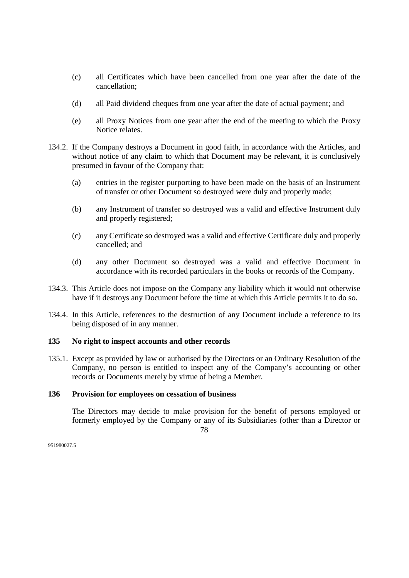- (c) all Certificates which have been cancelled from one year after the date of the cancellation;
- (d) all Paid dividend cheques from one year after the date of actual payment; and
- (e) all Proxy Notices from one year after the end of the meeting to which the Proxy Notice relates.
- 134.2. If the Company destroys a Document in good faith, in accordance with the Articles, and without notice of any claim to which that Document may be relevant, it is conclusively presumed in favour of the Company that:
	- (a) entries in the register purporting to have been made on the basis of an Instrument of transfer or other Document so destroyed were duly and properly made;
	- (b) any Instrument of transfer so destroyed was a valid and effective Instrument duly and properly registered;
	- (c) any Certificate so destroyed was a valid and effective Certificate duly and properly cancelled; and
	- (d) any other Document so destroyed was a valid and effective Document in accordance with its recorded particulars in the books or records of the Company.
- 134.3. This Article does not impose on the Company any liability which it would not otherwise have if it destroys any Document before the time at which this Article permits it to do so.
- 134.4. In this Article, references to the destruction of any Document include a reference to its being disposed of in any manner.

### **135 No right to inspect accounts and other records**

135.1. Except as provided by law or authorised by the Directors or an Ordinary Resolution of the Company, no person is entitled to inspect any of the Company's accounting or other records or Documents merely by virtue of being a Member.

### **136 Provision for employees on cessation of business**

The Directors may decide to make provision for the benefit of persons employed or formerly employed by the Company or any of its Subsidiaries (other than a Director or

78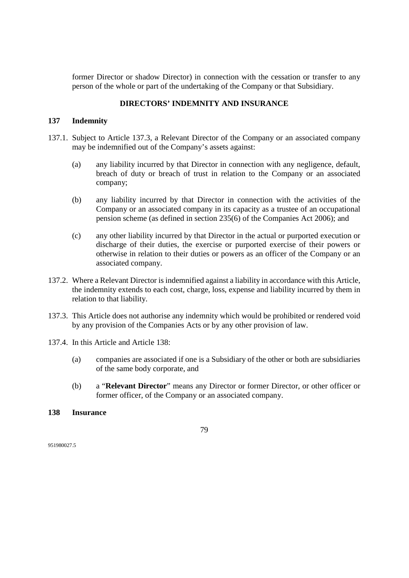former Director or shadow Director) in connection with the cessation or transfer to any person of the whole or part of the undertaking of the Company or that Subsidiary.

# **DIRECTORS' INDEMNITY AND INSURANCE**

### **137 Indemnity**

- 137.1. Subject to Article 137.3, a Relevant Director of the Company or an associated company may be indemnified out of the Company's assets against:
	- (a) any liability incurred by that Director in connection with any negligence, default, breach of duty or breach of trust in relation to the Company or an associated company;
	- (b) any liability incurred by that Director in connection with the activities of the Company or an associated company in its capacity as a trustee of an occupational pension scheme (as defined in section 235(6) of the Companies Act 2006); and
	- (c) any other liability incurred by that Director in the actual or purported execution or discharge of their duties, the exercise or purported exercise of their powers or otherwise in relation to their duties or powers as an officer of the Company or an associated company.
- 137.2. Where a Relevant Director is indemnified against a liability in accordance with this Article, the indemnity extends to each cost, charge, loss, expense and liability incurred by them in relation to that liability.
- 137.3. This Article does not authorise any indemnity which would be prohibited or rendered void by any provision of the Companies Acts or by any other provision of law.
- 137.4. In this Article and Article 138:
	- (a) companies are associated if one is a Subsidiary of the other or both are subsidiaries of the same body corporate, and
	- (b) a "**Relevant Director**" means any Director or former Director, or other officer or former officer, of the Company or an associated company.

### **138 Insurance**

79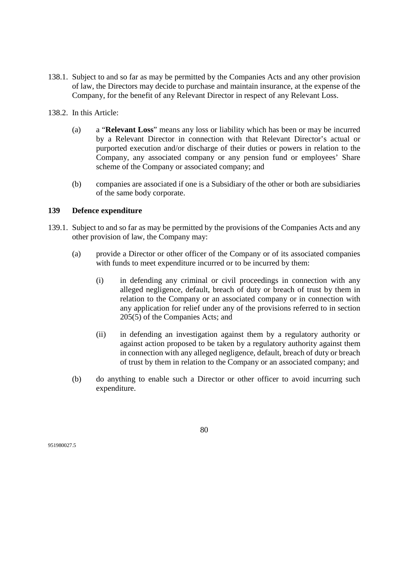- 138.1. Subject to and so far as may be permitted by the Companies Acts and any other provision of law, the Directors may decide to purchase and maintain insurance, at the expense of the Company, for the benefit of any Relevant Director in respect of any Relevant Loss.
- 138.2. In this Article:
	- (a) a "**Relevant Loss**" means any loss or liability which has been or may be incurred by a Relevant Director in connection with that Relevant Director's actual or purported execution and/or discharge of their duties or powers in relation to the Company, any associated company or any pension fund or employees' Share scheme of the Company or associated company; and
	- (b) companies are associated if one is a Subsidiary of the other or both are subsidiaries of the same body corporate.

# **139 Defence expenditure**

- 139.1. Subject to and so far as may be permitted by the provisions of the Companies Acts and any other provision of law, the Company may:
	- (a) provide a Director or other officer of the Company or of its associated companies with funds to meet expenditure incurred or to be incurred by them:
		- (i) in defending any criminal or civil proceedings in connection with any alleged negligence, default, breach of duty or breach of trust by them in relation to the Company or an associated company or in connection with any application for relief under any of the provisions referred to in section 205(5) of the Companies Acts; and
		- (ii) in defending an investigation against them by a regulatory authority or against action proposed to be taken by a regulatory authority against them in connection with any alleged negligence, default, breach of duty or breach of trust by them in relation to the Company or an associated company; and
	- (b) do anything to enable such a Director or other officer to avoid incurring such expenditure.

80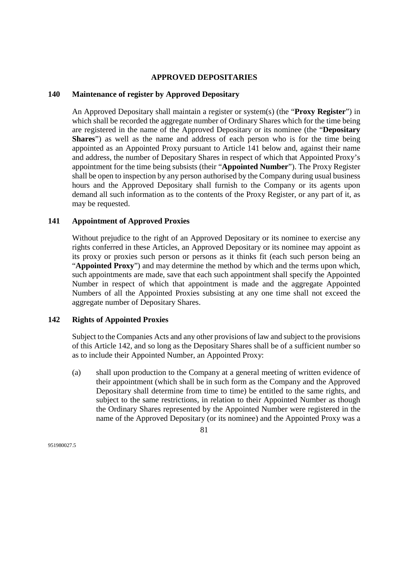### **APPROVED DEPOSITARIES**

#### **140 Maintenance of register by Approved Depositary**

An Approved Depositary shall maintain a register or system(s) (the "**Proxy Register**") in which shall be recorded the aggregate number of Ordinary Shares which for the time being are registered in the name of the Approved Depositary or its nominee (the "**Depositary Shares**") as well as the name and address of each person who is for the time being appointed as an Appointed Proxy pursuant to Article 141 below and, against their name and address, the number of Depositary Shares in respect of which that Appointed Proxy's appointment for the time being subsists (their "**Appointed Number**"). The Proxy Register shall be open to inspection by any person authorised by the Company during usual business hours and the Approved Depositary shall furnish to the Company or its agents upon demand all such information as to the contents of the Proxy Register, or any part of it, as may be requested.

# **141 Appointment of Approved Proxies**

Without prejudice to the right of an Approved Depositary or its nominee to exercise any rights conferred in these Articles, an Approved Depositary or its nominee may appoint as its proxy or proxies such person or persons as it thinks fit (each such person being an "**Appointed Proxy**") and may determine the method by which and the terms upon which, such appointments are made, save that each such appointment shall specify the Appointed Number in respect of which that appointment is made and the aggregate Appointed Numbers of all the Appointed Proxies subsisting at any one time shall not exceed the aggregate number of Depositary Shares.

# **142 Rights of Appointed Proxies**

Subject to the Companies Acts and any other provisions of law and subject to the provisions of this Article 142, and so long as the Depositary Shares shall be of a sufficient number so as to include their Appointed Number, an Appointed Proxy:

(a) shall upon production to the Company at a general meeting of written evidence of their appointment (which shall be in such form as the Company and the Approved Depositary shall determine from time to time) be entitled to the same rights, and subject to the same restrictions, in relation to their Appointed Number as though the Ordinary Shares represented by the Appointed Number were registered in the name of the Approved Depositary (or its nominee) and the Appointed Proxy was a

81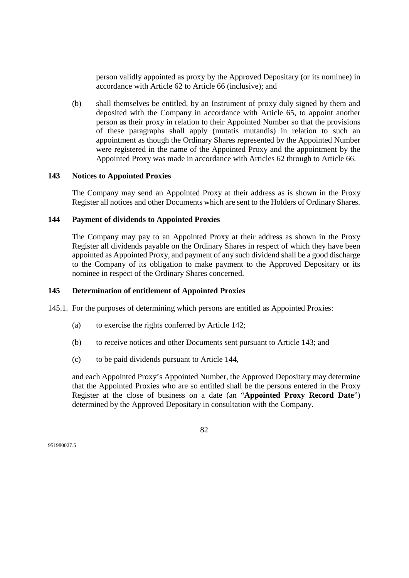person validly appointed as proxy by the Approved Depositary (or its nominee) in accordance with Article 62 to Article 66 (inclusive); and

(b) shall themselves be entitled, by an Instrument of proxy duly signed by them and deposited with the Company in accordance with Article 65, to appoint another person as their proxy in relation to their Appointed Number so that the provisions of these paragraphs shall apply (mutatis mutandis) in relation to such an appointment as though the Ordinary Shares represented by the Appointed Number were registered in the name of the Appointed Proxy and the appointment by the Appointed Proxy was made in accordance with Articles 62 through to Article 66.

# **143 Notices to Appointed Proxies**

The Company may send an Appointed Proxy at their address as is shown in the Proxy Register all notices and other Documents which are sent to the Holders of Ordinary Shares.

# **144 Payment of dividends to Appointed Proxies**

The Company may pay to an Appointed Proxy at their address as shown in the Proxy Register all dividends payable on the Ordinary Shares in respect of which they have been appointed as Appointed Proxy, and payment of any such dividend shall be a good discharge to the Company of its obligation to make payment to the Approved Depositary or its nominee in respect of the Ordinary Shares concerned.

# **145 Determination of entitlement of Appointed Proxies**

145.1. For the purposes of determining which persons are entitled as Appointed Proxies:

- (a) to exercise the rights conferred by Article 142;
- (b) to receive notices and other Documents sent pursuant to Article 143; and
- (c) to be paid dividends pursuant to Article 144,

and each Appointed Proxy's Appointed Number, the Approved Depositary may determine that the Appointed Proxies who are so entitled shall be the persons entered in the Proxy Register at the close of business on a date (an "**Appointed Proxy Record Date**") determined by the Approved Depositary in consultation with the Company.

82